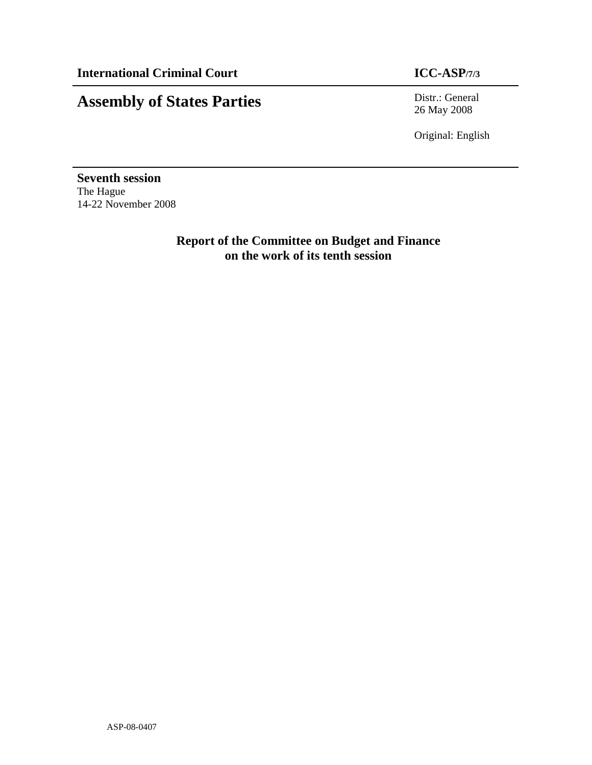# **Assembly of States Parties** Distr.: General

26 May 2008

Original: English

**Seventh session**  The Hague 14-22 November 2008

> **Report of the Committee on Budget and Finance on the work of its tenth session**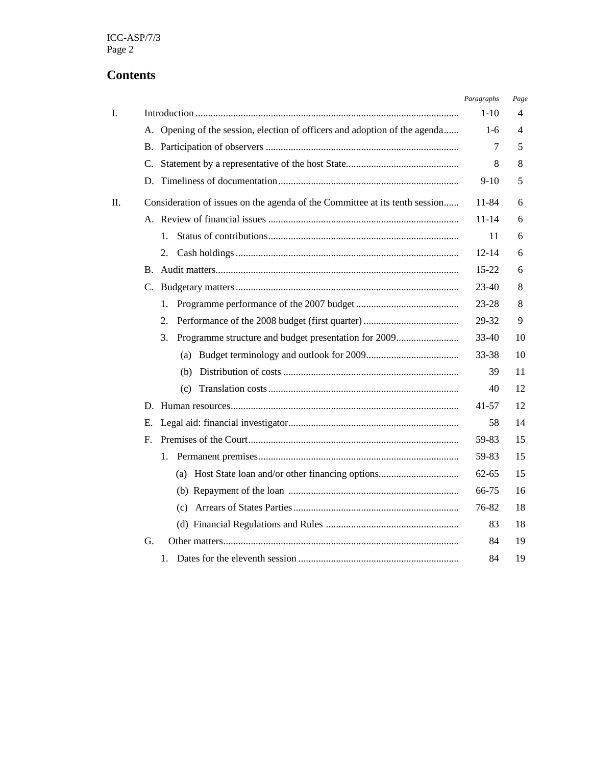# **Contents**

|    |                                                                             | Paragraphs | Page |
|----|-----------------------------------------------------------------------------|------------|------|
| I. |                                                                             | $1-10$     | 4    |
|    | A. Opening of the session, election of officers and adoption of the agenda  | $1-6$      | 4    |
|    | В.                                                                          | 7          | 5    |
|    | C.                                                                          | 8          | 8    |
|    |                                                                             | $9-10$     | 5    |
| П. | Consideration of issues on the agenda of the Committee at its tenth session | 11-84      | 6    |
|    |                                                                             | $11 - 14$  | 6    |
|    | $1_{-}$                                                                     | 11         | 6    |
|    | 2.                                                                          | $12 - 14$  | 6    |
|    | $\mathbf{B}$ .                                                              | $15 - 22$  | 6    |
|    | C.                                                                          | 23-40      | 8    |
|    | 1.                                                                          | 23-28      | 8    |
|    | 2.                                                                          | 29-32      | 9    |
|    | Programme structure and budget presentation for 2009<br>3.                  | 33-40      | 10   |
|    |                                                                             | 33-38      | 10   |
|    | (b)                                                                         | 39         | 11   |
|    | (c)                                                                         | 40         | 12   |
|    |                                                                             | 41-57      | 12   |
|    | Е.                                                                          | 58         | 14   |
|    | $F_{\cdot}$                                                                 | 59-83      | 15   |
|    | 1.                                                                          | 59-83      | 15   |
|    | (a) Host State loan and/or other financing options                          | 62-65      | 15   |
|    |                                                                             | 66-75      | 16   |
|    |                                                                             | 76-82      | 18   |
|    |                                                                             | 83         | 18   |
|    | G.                                                                          | 84         | 19   |
|    | 1.                                                                          | 84         | 19   |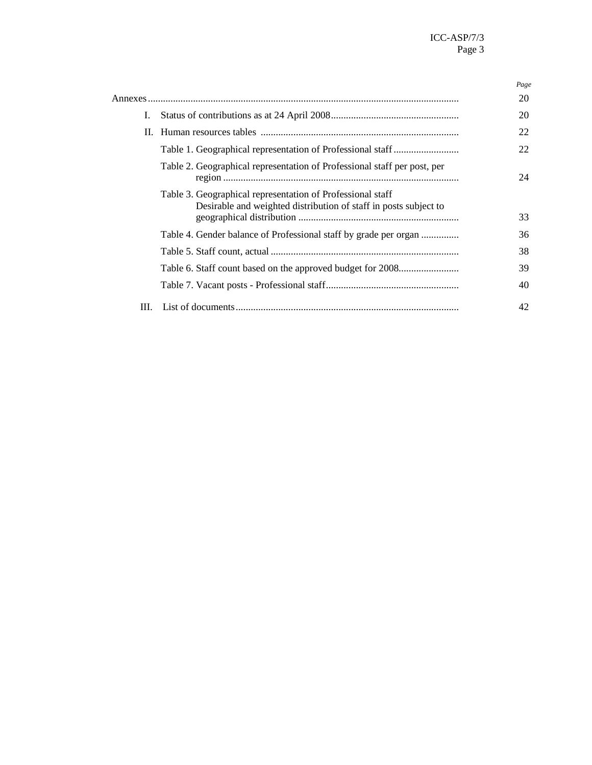|      |                                                                                                                                | Page |
|------|--------------------------------------------------------------------------------------------------------------------------------|------|
|      |                                                                                                                                | 20   |
| L.   |                                                                                                                                | 20   |
|      |                                                                                                                                | 22   |
|      |                                                                                                                                | 22   |
|      | Table 2. Geographical representation of Professional staff per post, per                                                       | 24   |
|      | Table 3. Geographical representation of Professional staff<br>Desirable and weighted distribution of staff in posts subject to | 33   |
|      | Table 4. Gender balance of Professional staff by grade per organ                                                               | 36   |
|      |                                                                                                                                | 38   |
|      |                                                                                                                                | 39   |
|      |                                                                                                                                | 40   |
| III. |                                                                                                                                | 42   |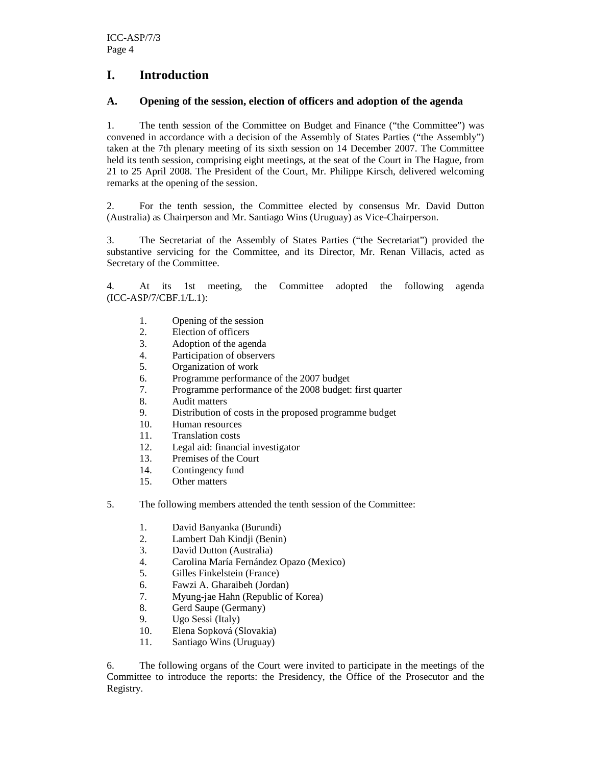## **I. Introduction**

### **A. Opening of the session, election of officers and adoption of the agenda**

1. The tenth session of the Committee on Budget and Finance ("the Committee") was convened in accordance with a decision of the Assembly of States Parties ("the Assembly") taken at the 7th plenary meeting of its sixth session on 14 December 2007. The Committee held its tenth session, comprising eight meetings, at the seat of the Court in The Hague, from 21 to 25 April 2008. The President of the Court, Mr. Philippe Kirsch, delivered welcoming remarks at the opening of the session.

2. For the tenth session, the Committee elected by consensus Mr. David Dutton (Australia) as Chairperson and Mr. Santiago Wins (Uruguay) as Vice-Chairperson.

3. The Secretariat of the Assembly of States Parties ("the Secretariat") provided the substantive servicing for the Committee, and its Director*,* Mr. Renan Villacis, acted as Secretary of the Committee.

4. At its 1st meeting, the Committee adopted the following agenda (ICC-ASP/7/CBF.1/L.1):

- 1. Opening of the session
- 2. Election of officers
- 3. Adoption of the agenda
- 4. Participation of observers<br>5. Organization of work
- 5. Organization of work
- 6. Programme performance of the 2007 budget
- 7. Programme performance of the 2008 budget: first quarter
- 8. Audit matters
- 9. Distribution of costs in the proposed programme budget
- 10. Human resources
- 11. Translation costs
- 12. Legal aid: financial investigator
- 13. Premises of the Court
- 14. Contingency fund
- 15. Other matters
- 5. The following members attended the tenth session of the Committee:
	- 1. David Banyanka (Burundi)
	- 2. Lambert Dah Kindji (Benin)
	- 3. David Dutton (Australia)
	- 4. Carolina María Fernández Opazo (Mexico)
	- 5. Gilles Finkelstein (France)
	- 6. Fawzi A. Gharaibeh (Jordan)<br>7. Myung-iae Hahn (Republic of
	- 7. Myung-jae Hahn (Republic of Korea)
	- 8. Gerd Saupe (Germany)
	- 9. Ugo Sessi (Italy)
	- 10. Elena Sopková (Slovakia)
	- 11. Santiago Wins (Uruguay)

6. The following organs of the Court were invited to participate in the meetings of the Committee to introduce the reports: the Presidency, the Office of the Prosecutor and the Registry.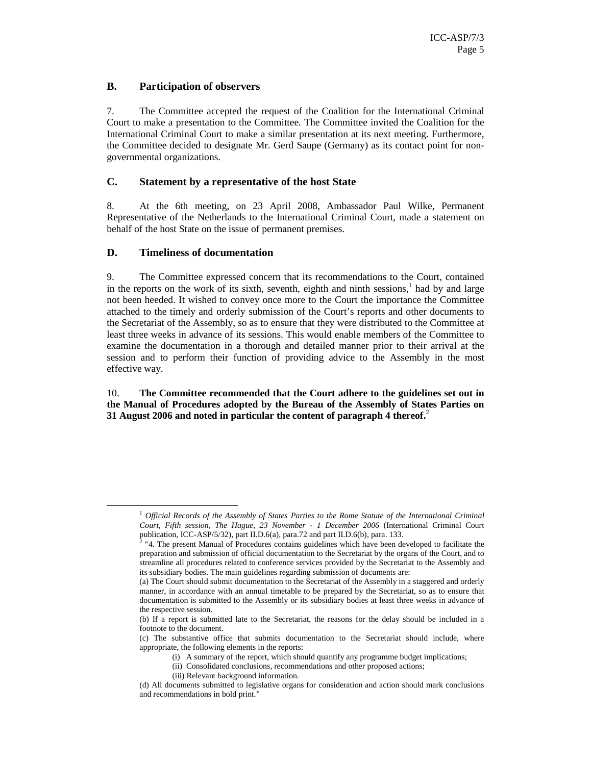#### **B. Participation of observers**

7. The Committee accepted the request of the Coalition for the International Criminal Court to make a presentation to the Committee. The Committee invited the Coalition for the International Criminal Court to make a similar presentation at its next meeting. Furthermore, the Committee decided to designate Mr. Gerd Saupe (Germany) as its contact point for nongovernmental organizations.

#### **C. Statement by a representative of the host State**

8. At the 6th meeting, on 23 April 2008, Ambassador Paul Wilke, Permanent Representative of the Netherlands to the International Criminal Court, made a statement on behalf of the host State on the issue of permanent premises.

#### **D. Timeliness of documentation**

-

9. The Committee expressed concern that its recommendations to the Court, contained in the reports on the work of its sixth, seventh, eighth and ninth sessions,<sup>1</sup> had by and large not been heeded. It wished to convey once more to the Court the importance the Committee attached to the timely and orderly submission of the Court's reports and other documents to the Secretariat of the Assembly, so as to ensure that they were distributed to the Committee at least three weeks in advance of its sessions. This would enable members of the Committee to examine the documentation in a thorough and detailed manner prior to their arrival at the session and to perform their function of providing advice to the Assembly in the most effective way.

10. **The Committee recommended that the Court adhere to the guidelines set out in the Manual of Procedures adopted by the Bureau of the Assembly of States Parties on 31 August 2006 and noted in particular the content of paragraph 4 thereof.**<sup>2</sup>

- (i) A summary of the report, which should quantify any programme budget implications;
- (ii) Consolidated conclusions, recommendations and other proposed actions;
- (iii) Relevant background information.

<sup>1</sup> *Official Records of the Assembly of States Parties to the Rome Statute of the International Criminal Court, Fifth session, The Hague, 23 November - 1 December 2006* (International Criminal Court publication, ICC-ASP/5/32), part II.D.6(a), para.72 and part II.D.6(b), para. 133.

<sup>&</sup>lt;sup>2</sup> "4. The present Manual of Procedures contains guidelines which have been developed to facilitate the preparation and submission of official documentation to the Secretariat by the organs of the Court, and to streamline all procedures related to conference services provided by the Secretariat to the Assembly and its subsidiary bodies. The main guidelines regarding submission of documents are:

<sup>(</sup>a) The Court should submit documentation to the Secretariat of the Assembly in a staggered and orderly manner, in accordance with an annual timetable to be prepared by the Secretariat, so as to ensure that documentation is submitted to the Assembly or its subsidiary bodies at least three weeks in advance of the respective session.

<sup>(</sup>b) If a report is submitted late to the Secretariat, the reasons for the delay should be included in a footnote to the document.

<sup>(</sup>c) The substantive office that submits documentation to the Secretariat should include, where appropriate, the following elements in the reports:

<sup>(</sup>d) All documents submitted to legislative organs for consideration and action should mark conclusions and recommendations in bold print."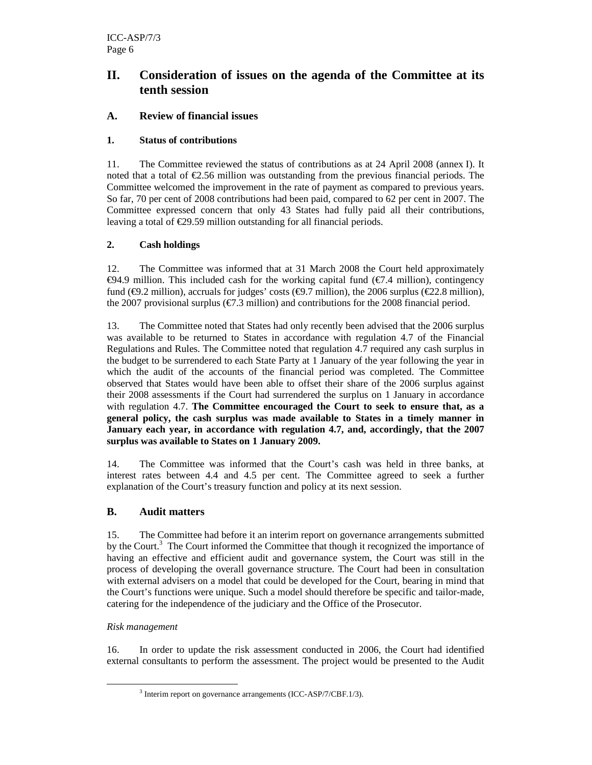## **II. Consideration of issues on the agenda of the Committee at its tenth session**

### **A. Review of financial issues**

#### **1. Status of contributions**

11. The Committee reviewed the status of contributions as at 24 April 2008 (annex I). It noted that a total of  $\epsilon$ 2.56 million was outstanding from the previous financial periods. The Committee welcomed the improvement in the rate of payment as compared to previous years. So far, 70 per cent of 2008 contributions had been paid, compared to 62 per cent in 2007. The Committee expressed concern that only 43 States had fully paid all their contributions, leaving a total of  $\epsilon$ 29.59 million outstanding for all financial periods.

### **2. Cash holdings**

12. The Committee was informed that at 31 March 2008 the Court held approximately  $€94.9$  million. This included cash for the working apital fund (€7.4 million), contingency fund ( $\epsilon$ 9.2 million), accruals for judges' costs ( $\epsilon$ 97 million), the 2006 surplus ( $\epsilon$ 22.8 million), the 2007 provisional surplus ( $\epsilon$ 7.3 million) and contributions for the 2008 financial period.

13. The Committee noted that States had only recently been advised that the 2006 surplus was available to be returned to States in accordance with regulation 4.7 of the Financial Regulations and Rules. The Committee noted that regulation 4.7 required any cash surplus in the budget to be surrendered to each State Party at 1 January of the year following the year in which the audit of the accounts of the financial period was completed. The Committee observed that States would have been able to offset their share of the 2006 surplus against their 2008 assessments if the Court had surrendered the surplus on 1 January in accordance with regulation 4.7. **The Committee encouraged the Court to seek to ensure that, as a general policy, the cash surplus was made available to States in a timely manner in January each year, in accordance with regulation 4.7, and, accordingly, that the 2007 surplus was available to States on 1 January 2009.** 

14. The Committee was informed that the Court's cash was held in three banks, at interest rates between 4.4 and 4.5 per cent. The Committee agreed to seek a further explanation of the Court's treasury function and policy at its next session.

#### **B. Audit matters**

15. The Committee had before it an interim report on governance arrangements submitted by the Court.<sup>3</sup> The Court informed the Committee that though it recognized the importance of having an effective and efficient audit and governance system, the Court was still in the process of developing the overall governance structure. The Court had been in consultation with external advisers on a model that could be developed for the Court, bearing in mind that the Court's functions were unique. Such a model should therefore be specific and tailor-made, catering for the independence of the judiciary and the Office of the Prosecutor.

#### *Risk management*

-

16. In order to update the risk assessment conducted in 2006, the Court had identified external consultants to perform the assessment. The project would be presented to the Audit

<sup>&</sup>lt;sup>3</sup> Interim report on governance arrangements (ICC-ASP/7/CBF.1/3).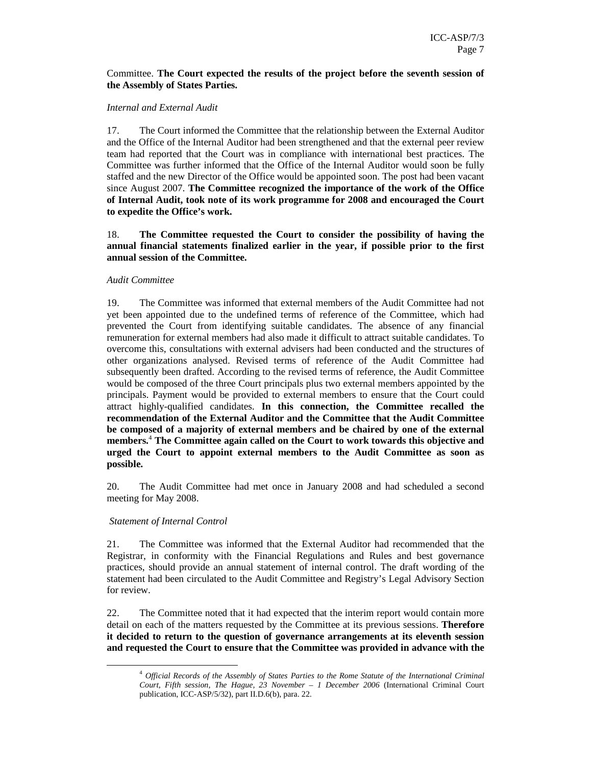#### Committee. **The Court expected the results of the project before the seventh session of the Assembly of States Parties.**

#### *Internal and External Audit*

17. The Court informed the Committee that the relationship between the External Auditor and the Office of the Internal Auditor had been strengthened and that the external peer review team had reported that the Court was in compliance with international best practices. The Committee was further informed that the Office of the Internal Auditor would soon be fully staffed and the new Director of the Office would be appointed soon. The post had been vacant since August 2007. **The Committee recognized the importance of the work of the Office of Internal Audit, took note of its work programme for 2008 and encouraged the Court to expedite the Office's work.**

18. **The Committee requested the Court to consider the possibility of having the annual financial statements finalized earlier in the year, if possible prior to the first annual session of the Committee.** 

#### *Audit Committee*

19. The Committee was informed that external members of the Audit Committee had not yet been appointed due to the undefined terms of reference of the Committee, which had prevented the Court from identifying suitable candidates. The absence of any financial remuneration for external members had also made it difficult to attract suitable candidates. To overcome this, consultations with external advisers had been conducted and the structures of other organizations analysed. Revised terms of reference of the Audit Committee had subsequently been drafted. According to the revised terms of reference, the Audit Committee would be composed of the three Court principals plus two external members appointed by the principals. Payment would be provided to external members to ensure that the Court could attract highly-qualified candidates. **In this connection, the Committee recalled the recommendation of the External Auditor and the Committee that the Audit Committee be composed of a majority of external members and be chaired by one of the external members.**<sup>4</sup>  **The Committee again called on the Court to work towards this objective and urged the Court to appoint external members to the Audit Committee as soon as possible.** 

20. The Audit Committee had met once in January 2008 and had scheduled a second meeting for May 2008.

#### *Statement of Internal Control*

-

21. The Committee was informed that the External Auditor had recommended that the Registrar, in conformity with the Financial Regulations and Rules and best governance practices, should provide an annual statement of internal control. The draft wording of the statement had been circulated to the Audit Committee and Registry's Legal Advisory Section for review.

22. The Committee noted that it had expected that the interim report would contain more detail on each of the matters requested by the Committee at its previous sessions. **Therefore it decided to return to the question of governance arrangements at its eleventh session and requested the Court to ensure that the Committee was provided in advance with the** 

<sup>4</sup> *Official Records of the Assembly of States Parties to the Rome Statute of the International Criminal Court, Fifth session, The Hague, 23 November – 1 December 2006* (International Criminal Court publication, ICC-ASP/5/32), part II.D.6(b), para. 22.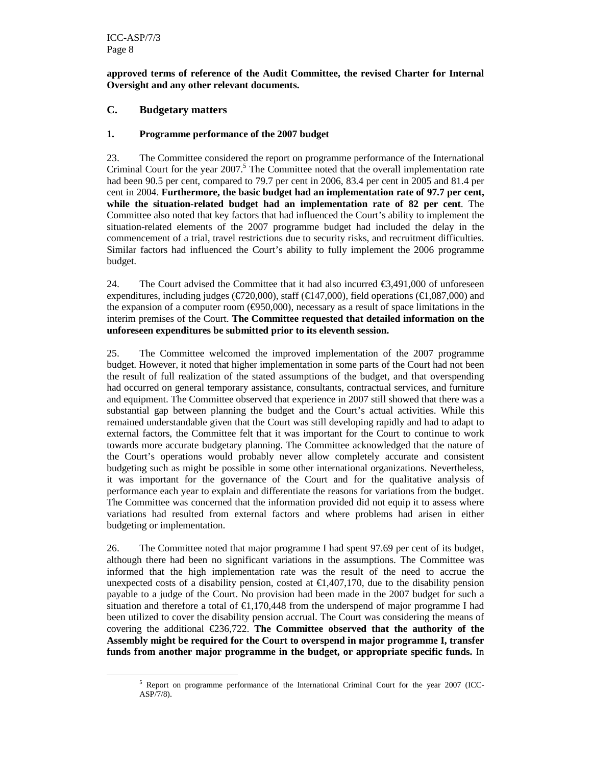-

#### **approved terms of reference of the Audit Committee, the revised Charter for Internal Oversight and any other relevant documents.**

#### **C. Budgetary matters**

#### **1. Programme performance of the 2007 budget**

23. The Committee considered the report on programme performance of the International Criminal Court for the year  $2007$ .<sup>5</sup> The Committee noted that the overall implementation rate had been 90.5 per cent, compared to 79.7 per cent in 2006, 83.4 per cent in 2005 and 81.4 per cent in 2004. **Furthermore, the basic budget had an implementation rate of 97.7 per cent, while the situation-related budget had an implementation rate of 82 per cent**. The Committee also noted that key factors that had influenced the Court's ability to implement the situation-related elements of the 2007 programme budget had included the delay in the commencement of a trial, travel restrictions due to security risks, and recruitment difficulties. Similar factors had influenced the Court's ability to fully implement the 2006 programme budget.

24. The Court advised the Committee that it had also incurred  $\epsilon$ 3,491,000 of unforeseen expenditures, including judges ( $\epsilon$ 720,000), staff ( $\epsilon$ 47,000), field operations ( $\epsilon$ 1,087,000) and the expansion of a computer room ( $\epsilon$ 950,000), necessary as a result of space limitations in the interim premises of the Court. **The Committee requested that detailed information on the unforeseen expenditures be submitted prior to its eleventh session.** 

25. The Committee welcomed the improved implementation of the 2007 programme budget. However, it noted that higher implementation in some parts of the Court had not been the result of full realization of the stated assumptions of the budget, and that overspending had occurred on general temporary assistance, consultants, contractual services, and furniture and equipment. The Committee observed that experience in 2007 still showed that there was a substantial gap between planning the budget and the Court's actual activities. While this remained understandable given that the Court was still developing rapidly and had to adapt to external factors, the Committee felt that it was important for the Court to continue to work towards more accurate budgetary planning. The Committee acknowledged that the nature of the Court's operations would probably never allow completely accurate and consistent budgeting such as might be possible in some other international organizations. Nevertheless, it was important for the governance of the Court and for the qualitative analysis of performance each year to explain and differentiate the reasons for variations from the budget. The Committee was concerned that the information provided did not equip it to assess where variations had resulted from external factors and where problems had arisen in either budgeting or implementation.

26. The Committee noted that major programme I had spent 97.69 per cent of its budget, although there had been no significant variations in the assumptions. The Committee was informed that the high implementation rate was the result of the need to accrue the unexpected costs of a disability pension, costed at  $\epsilon 1,407,170$ , due to the disability pension payable to a judge of the Court. No provision had been made in the 2007 budget for such a situation and therefore a total of  $\epsilon 1,170,448$  from the underspend of major programme I had been utilized to cover the disability pension accrual. The Court was considering the means of covering the additional €236,722. **The Committee observed that the authority of the Assembly might be required for the Court to overspend in major programme I, transfer funds from another major programme in the budget, or appropriate specific funds.** In

<sup>&</sup>lt;sup>5</sup> Report on programme performance of the International Criminal Court for the year 2007 (ICC-ASP/7/8).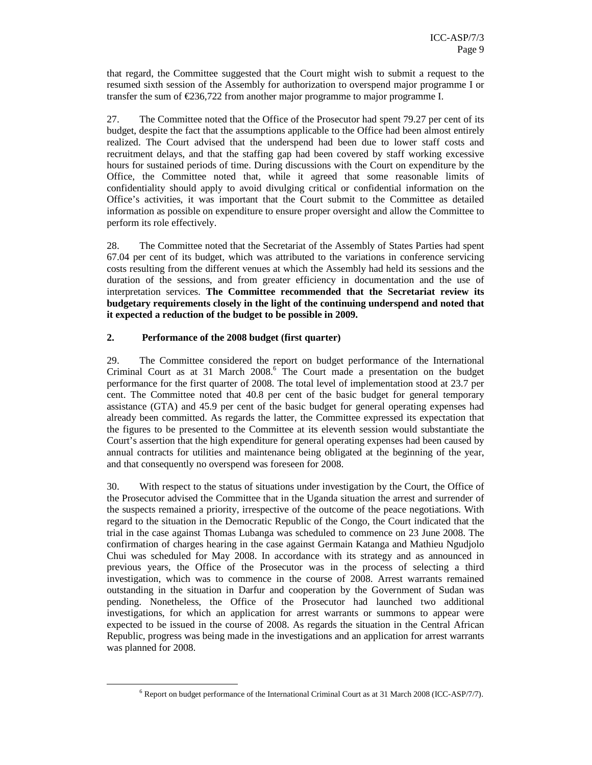that regard, the Committee suggested that the Court might wish to submit a request to the resumed sixth session of the Assembly for authorization to overspend major programme I or transfer the sum of  $\epsilon$ 236,722 from another major programme to major programme I.

27. The Committee noted that the Office of the Prosecutor had spent 79.27 per cent of its budget, despite the fact that the assumptions applicable to the Office had been almost entirely realized. The Court advised that the underspend had been due to lower staff costs and recruitment delays, and that the staffing gap had been covered by staff working excessive hours for sustained periods of time. During discussions with the Court on expenditure by the Office, the Committee noted that, while it agreed that some reasonable limits of confidentiality should apply to avoid divulging critical or confidential information on the Office's activities, it was important that the Court submit to the Committee as detailed information as possible on expenditure to ensure proper oversight and allow the Committee to perform its role effectively.

28. The Committee noted that the Secretariat of the Assembly of States Parties had spent 67.04 per cent of its budget, which was attributed to the variations in conference servicing costs resulting from the different venues at which the Assembly had held its sessions and the duration of the sessions, and from greater efficiency in documentation and the use of interpretation services. **The Committee recommended that the Secretariat review its budgetary requirements closely in the light of the continuing underspend and noted that it expected a reduction of the budget to be possible in 2009.** 

#### **2. Performance of the 2008 budget (first quarter)**

-

29. The Committee considered the report on budget performance of the International Criminal Court as at 31 March 2008.<sup>6</sup> The Court made a presentation on the budget performance for the first quarter of 2008. The total level of implementation stood at 23.7 per cent. The Committee noted that 40.8 per cent of the basic budget for general temporary assistance (GTA) and 45.9 per cent of the basic budget for general operating expenses had already been committed. As regards the latter, the Committee expressed its expectation that the figures to be presented to the Committee at its eleventh session would substantiate the Court's assertion that the high expenditure for general operating expenses had been caused by annual contracts for utilities and maintenance being obligated at the beginning of the year, and that consequently no overspend was foreseen for 2008.

30. With respect to the status of situations under investigation by the Court, the Office of the Prosecutor advised the Committee that in the Uganda situation the arrest and surrender of the suspects remained a priority, irrespective of the outcome of the peace negotiations. With regard to the situation in the Democratic Republic of the Congo, the Court indicated that the trial in the case against Thomas Lubanga was scheduled to commence on 23 June 2008. The confirmation of charges hearing in the case against Germain Katanga and Mathieu Ngudjolo Chui was scheduled for May 2008. In accordance with its strategy and as announced in previous years, the Office of the Prosecutor was in the process of selecting a third investigation, which was to commence in the course of 2008. Arrest warrants remained outstanding in the situation in Darfur and cooperation by the Government of Sudan was pending. Nonetheless, the Office of the Prosecutor had launched two additional investigations, for which an application for arrest warrants or summons to appear were expected to be issued in the course of 2008. As regards the situation in the Central African Republic, progress was being made in the investigations and an application for arrest warrants was planned for 2008.

<sup>&</sup>lt;sup>6</sup> Report on budget performance of the International Criminal Court as at 31 March 2008 (ICC-ASP/7/7).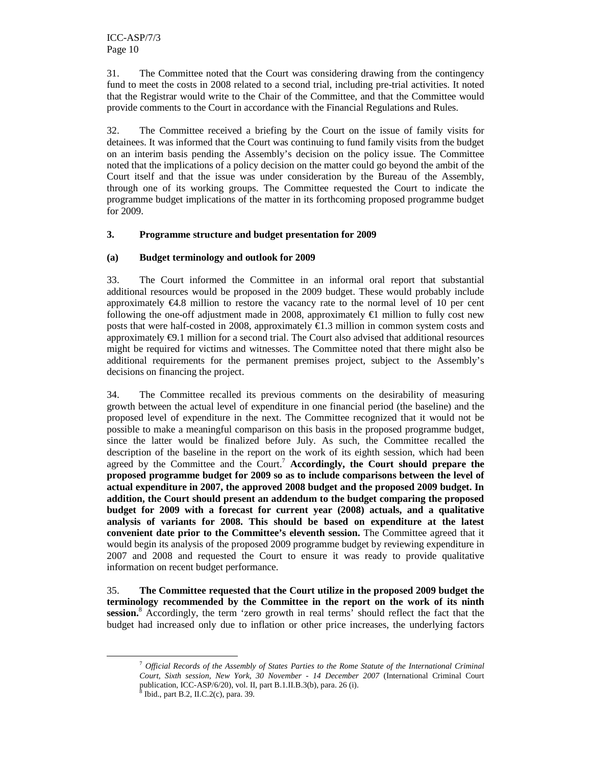31. The Committee noted that the Court was considering drawing from the contingency fund to meet the costs in 2008 related to a second trial, including pre-trial activities. It noted that the Registrar would write to the Chair of the Committee, and that the Committee would provide comments to the Court in accordance with the Financial Regulations and Rules.

32. The Committee received a briefing by the Court on the issue of family visits for detainees. It was informed that the Court was continuing to fund family visits from the budget on an interim basis pending the Assembly's decision on the policy issue. The Committee noted that the implications of a policy decision on the matter could go beyond the ambit of the Court itself and that the issue was under consideration by the Bureau of the Assembly, through one of its working groups. The Committee requested the Court to indicate the programme budget implications of the matter in its forthcoming proposed programme budget for 2009.

#### **3. Programme structure and budget presentation for 2009**

#### **(a) Budget terminology and outlook for 2009**

33. The Court informed the Committee in an informal oral report that substantial additional resources would be proposed in the 2009 budget. These would probably include approximately  $\epsilon$ 4.8 million to restore the vacancy ate to the normal level of 10 per cent following the one-off adjustment made in 2008, approximately  $\epsilon$ 1 million to fully cost new posts that were half-costed in 2008, approximately  $\epsilon$ 1.3 million in common system costs and approximately €9.1 million for a second trial. The Court also advised that additional resources might be required for victims and witnesses. The Committee noted that there might also be additional requirements for the permanent premises project, subject to the Assembly's decisions on financing the project.

34. The Committee recalled its previous comments on the desirability of measuring growth between the actual level of expenditure in one financial period (the baseline) and the proposed level of expenditure in the next. The Committee recognized that it would not be possible to make a meaningful comparison on this basis in the proposed programme budget, since the latter would be finalized before July. As such, the Committee recalled the description of the baseline in the report on the work of its eighth session, which had been agreed by the Committee and the Court.<sup>7</sup> Accordingly, the Court should prepare the **proposed programme budget for 2009 so as to include comparisons between the level of actual expenditure in 2007, the approved 2008 budget and the proposed 2009 budget. In addition, the Court should present an addendum to the budget comparing the proposed budget for 2009 with a forecast for current year (2008) actuals, and a qualitative analysis of variants for 2008. This should be based on expenditure at the latest convenient date prior to the Committee's eleventh session.** The Committee agreed that it would begin its analysis of the proposed 2009 programme budget by reviewing expenditure in 2007 and 2008 and requested the Court to ensure it was ready to provide qualitative information on recent budget performance.

35. **The Committee requested that the Court utilize in the proposed 2009 budget the terminology recommended by the Committee in the report on the work of its ninth**  session.<sup>8</sup> Accordingly, the term 'zero growth in real terms' should reflect the fact that the budget had increased only due to inflation or other price increases, the underlying factors

<sup>7</sup> *Official Records of the Assembly of States Parties to the Rome Statute of the International Criminal Court, Sixth session, New York, 30 November - 14 December 2007* (International Criminal Court publication, ICC-ASP/6/20), vol. II, part B.1.II.B.3(b), para. 26 (i).  $\frac{8 \text{ }\text{H}_{20}}{\text{ }}$  part B.2. II.C.2(c), para. 20

Ibid., part B.2, II.C.2(c), para. 39.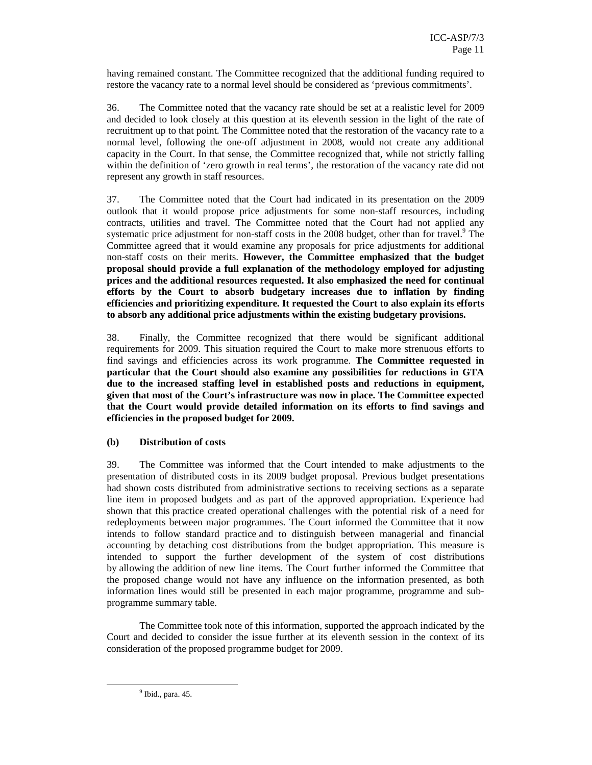having remained constant. The Committee recognized that the additional funding required to restore the vacancy rate to a normal level should be considered as 'previous commitments'.

36. The Committee noted that the vacancy rate should be set at a realistic level for 2009 and decided to look closely at this question at its eleventh session in the light of the rate of recruitment up to that point. The Committee noted that the restoration of the vacancy rate to a normal level, following the one-off adjustment in 2008, would not create any additional capacity in the Court. In that sense, the Committee recognized that, while not strictly falling within the definition of 'zero growth in real terms', the restoration of the vacancy rate did not represent any growth in staff resources.

37. The Committee noted that the Court had indicated in its presentation on the 2009 outlook that it would propose price adjustments for some non-staff resources, including contracts, utilities and travel. The Committee noted that the Court had not applied any systematic price adjustment for non-staff costs in the 2008 budget, other than for travel.<sup>9</sup> The Committee agreed that it would examine any proposals for price adjustments for additional non-staff costs on their merits. **However, the Committee emphasized that the budget proposal should provide a full explanation of the methodology employed for adjusting prices and the additional resources requested. It also emphasized the need for continual efforts by the Court to absorb budgetary increases due to inflation by finding efficiencies and prioritizing expenditure. It requested the Court to also explain its efforts to absorb any additional price adjustments within the existing budgetary provisions.**

38. Finally, the Committee recognized that there would be significant additional requirements for 2009. This situation required the Court to make more strenuous efforts to find savings and efficiencies across its work programme. **The Committee requested in particular that the Court should also examine any possibilities for reductions in GTA due to the increased staffing level in established posts and reductions in equipment, given that most of the Court's infrastructure was now in place. The Committee expected that the Court would provide detailed information on its efforts to find savings and efficiencies in the proposed budget for 2009.**

#### **(b) Distribution of costs**

39. The Committee was informed that the Court intended to make adjustments to the presentation of distributed costs in its 2009 budget proposal. Previous budget presentations had shown costs distributed from administrative sections to receiving sections as a separate line item in proposed budgets and as part of the approved appropriation. Experience had shown that this practice created operational challenges with the potential risk of a need for redeployments between major programmes. The Court informed the Committee that it now intends to follow standard practice and to distinguish between managerial and financial accounting by detaching cost distributions from the budget appropriation. This measure is intended to support the further development of the system of cost distributions by allowing the addition of new line items. The Court further informed the Committee that the proposed change would not have any influence on the information presented, as both information lines would still be presented in each major programme, programme and subprogramme summary table.

The Committee took note of this information, supported the approach indicated by the Court and decided to consider the issue further at its eleventh session in the context of its consideration of the proposed programme budget for 2009.

<sup>9</sup> Ibid., para. 45.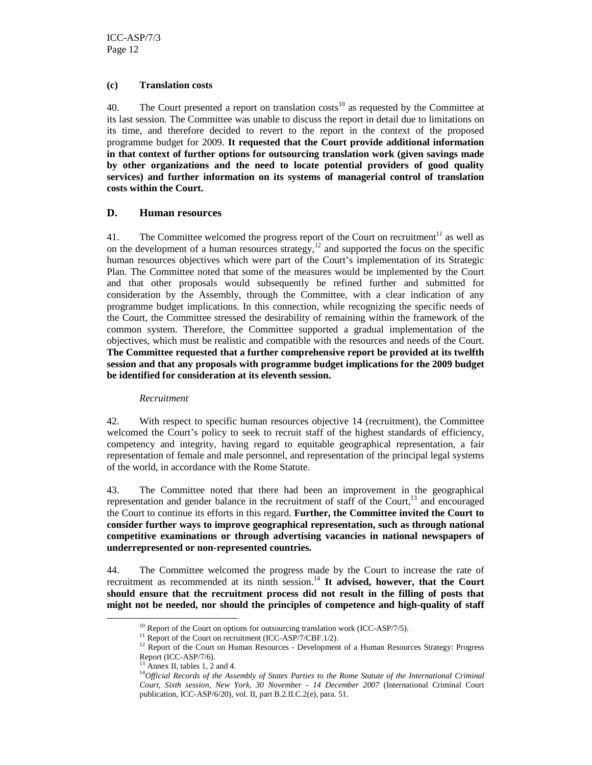#### **(c) Translation costs**

40. The Court presented a report on translation costs<sup>10</sup> as requested by the Committee at its last session. The Committee was unable to discuss the report in detail due to limitations on its time, and therefore decided to revert to the report in the context of the proposed programme budget for 2009. **It requested that the Court provide additional information in that context of further options for outsourcing translation work (given savings made by other organizations and the need to locate potential providers of good quality services) and further information on its systems of managerial control of translation costs within the Court.** 

#### **D. Human resources**

41. The Committee welcomed the progress report of the Court on recruitment<sup>11</sup> as well as on the development of a human resources strategy, $^{12}$  and supported the focus on the specific human resources objectives which were part of the Court's implementation of its Strategic Plan. The Committee noted that some of the measures would be implemented by the Court and that other proposals would subsequently be refined further and submitted for consideration by the Assembly, through the Committee, with a clear indication of any programme budget implications. In this connection, while recognizing the specific needs of the Court, the Committee stressed the desirability of remaining within the framework of the common system. Therefore, the Committee supported a gradual implementation of the objectives, which must be realistic and compatible with the resources and needs of the Court. **The Committee requested that a further comprehensive report be provided at its twelfth session and that any proposals with programme budget implications for the 2009 budget be identified for consideration at its eleventh session.**

#### *Recruitment*

42. With respect to specific human resources objective 14 (recruitment), the Committee welcomed the Court's policy to seek to recruit staff of the highest standards of efficiency, competency and integrity, having regard to equitable geographical representation, a fair representation of female and male personnel, and representation of the principal legal systems of the world, in accordance with the Rome Statute.

43. The Committee noted that there had been an improvement in the geographical representation and gender balance in the recruitment of staff of the Court, $^{13}$  and encouraged the Court to continue its efforts in this regard. **Further, the Committee invited the Court to consider further ways to improve geographical representation, such as through national competitive examinations or through advertising vacancies in national newspapers of underrepresented or non-represented countries.**

44. The Committee welcomed the progress made by the Court to increase the rate of recruitment as recommended at its ninth session.<sup>14</sup> It advised, however, that the Court **should ensure that the recruitment process did not result in the filling of posts that might not be needed, nor should the principles of competence and high-quality of staff** 

 $10$  Report of the Court on options for outsourcing translation work (ICC-ASP/7/5).

 $11$  Report of the Court on recruitment (ICC-ASP/7/CBF.1/2).

<sup>&</sup>lt;sup>12</sup> Report of the Court on Human Resources - Development of a Human Resources Strategy: Progress Report (ICC-ASP/7/6).

 $13$  Annex II, tables 1, 2 and 4.

<sup>&</sup>lt;sup>14</sup>Official Records of the Assembly of States Parties to the Rome Statute of the International Criminal *Court, Sixth session, New York, 30 November - 14 December 2007* (International Criminal Court publication, ICC-ASP/6/20), vol. II, part B.2.II.C.2(e), para. 51.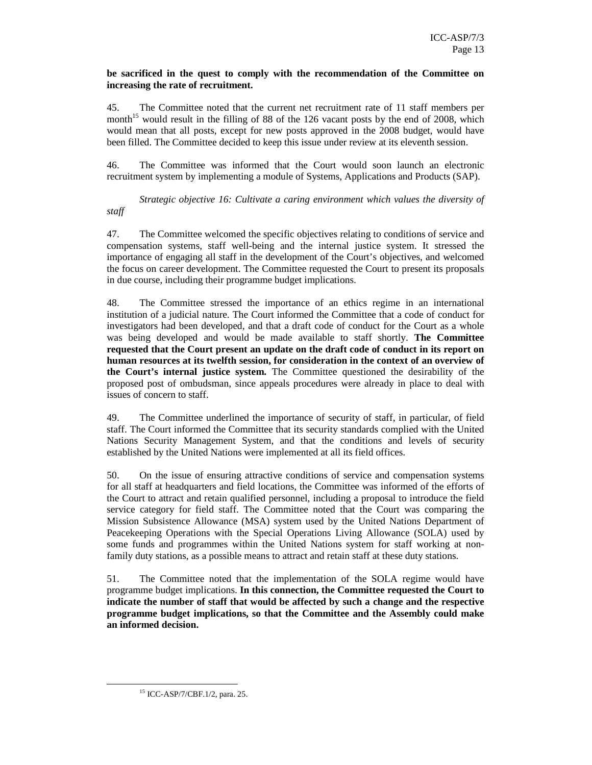#### **be sacrificed in the quest to comply with the recommendation of the Committee on increasing the rate of recruitment.**

45. The Committee noted that the current net recruitment rate of 11 staff members per month<sup>15</sup> would result in the filling of 88 of the 126 vacant posts by the end of 2008, which would mean that all posts, except for new posts approved in the 2008 budget, would have been filled. The Committee decided to keep this issue under review at its eleventh session.

46. The Committee was informed that the Court would soon launch an electronic recruitment system by implementing a module of Systems, Applications and Products (SAP).

*Strategic objective 16: Cultivate a caring environment which values the diversity of staff* 

47. The Committee welcomed the specific objectives relating to conditions of service and compensation systems, staff well-being and the internal justice system. It stressed the importance of engaging all staff in the development of the Court's objectives, and welcomed the focus on career development. The Committee requested the Court to present its proposals in due course, including their programme budget implications.

48. The Committee stressed the importance of an ethics regime in an international institution of a judicial nature. The Court informed the Committee that a code of conduct for investigators had been developed, and that a draft code of conduct for the Court as a whole was being developed and would be made available to staff shortly. **The Committee requested that the Court present an update on the draft code of conduct in its report on human resources at its twelfth session, for consideration in the context of an overview of the Court's internal justice system.** The Committee questioned the desirability of the proposed post of ombudsman, since appeals procedures were already in place to deal with issues of concern to staff.

49. The Committee underlined the importance of security of staff, in particular, of field staff. The Court informed the Committee that its security standards complied with the United Nations Security Management System, and that the conditions and levels of security established by the United Nations were implemented at all its field offices.

50. On the issue of ensuring attractive conditions of service and compensation systems for all staff at headquarters and field locations, the Committee was informed of the efforts of the Court to attract and retain qualified personnel, including a proposal to introduce the field service category for field staff. The Committee noted that the Court was comparing the Mission Subsistence Allowance (MSA) system used by the United Nations Department of Peacekeeping Operations with the Special Operations Living Allowance (SOLA) used by some funds and programmes within the United Nations system for staff working at nonfamily duty stations, as a possible means to attract and retain staff at these duty stations.

51. The Committee noted that the implementation of the SOLA regime would have programme budget implications. **In this connection, the Committee requested the Court to indicate the number of staff that would be affected by such a change and the respective programme budget implications, so that the Committee and the Assembly could make an informed decision.** 

<sup>15</sup> ICC-ASP/7/CBF.1/2, para. 25.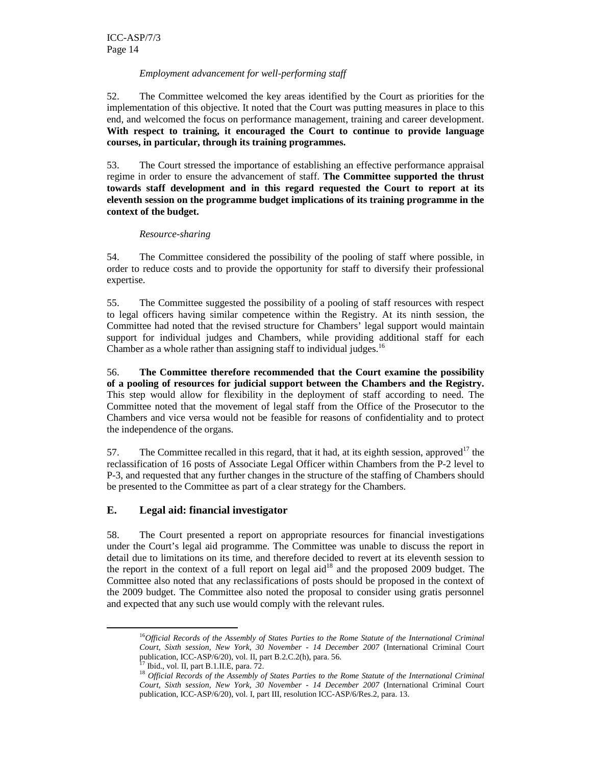#### *Employment advancement for well-performing staff*

52. The Committee welcomed the key areas identified by the Court as priorities for the implementation of this objective. It noted that the Court was putting measures in place to this end, and welcomed the focus on performance management, training and career development. **With respect to training, it encouraged the Court to continue to provide language courses, in particular, through its training programmes.** 

53. The Court stressed the importance of establishing an effective performance appraisal regime in order to ensure the advancement of staff. **The Committee supported the thrust towards staff development and in this regard requested the Court to report at its eleventh session on the programme budget implications of its training programme in the context of the budget.** 

#### *Resource-sharing*

54. The Committee considered the possibility of the pooling of staff where possible, in order to reduce costs and to provide the opportunity for staff to diversify their professional expertise.

55. The Committee suggested the possibility of a pooling of staff resources with respect to legal officers having similar competence within the Registry. At its ninth session, the Committee had noted that the revised structure for Chambers' legal support would maintain support for individual judges and Chambers, while providing additional staff for each Chamber as a whole rather than assigning staff to individual judges.<sup>16</sup>

56. **The Committee therefore recommended that the Court examine the possibility of a pooling of resources for judicial support between the Chambers and the Registry.** This step would allow for flexibility in the deployment of staff according to need. The Committee noted that the movement of legal staff from the Office of the Prosecutor to the Chambers and vice versa would not be feasible for reasons of confidentiality and to protect the independence of the organs.

57. The Committee recalled in this regard, that it had, at its eighth session, approved<sup>17</sup> the reclassification of 16 posts of Associate Legal Officer within Chambers from the P-2 level to P-3, and requested that any further changes in the structure of the staffing of Chambers should be presented to the Committee as part of a clear strategy for the Chambers.

#### **E. Legal aid: financial investigator**

58. The Court presented a report on appropriate resources for financial investigations under the Court's legal aid programme. The Committee was unable to discuss the report in detail due to limitations on its time, and therefore decided to revert at its eleventh session to the report in the context of a full report on legal aid<sup>18</sup> and the proposed 2009 budget. The Committee also noted that any reclassifications of posts should be proposed in the context of the 2009 budget. The Committee also noted the proposal to consider using gratis personnel and expected that any such use would comply with the relevant rules.

<sup>16</sup>*Official Records of the Assembly of States Parties to the Rome Statute of the International Criminal Court, Sixth session, New York, 30 November - 14 December 2007* (International Criminal Court publication, ICC-ASP/6/20), vol. II, part B.2.C.2(h), para. 56.

Ibid., vol. II, part B.1.II.E, para. 72.

<sup>&</sup>lt;sup>18</sup> Official Records of the Assembly of States Parties to the Rome Statute of the International Criminal *Court, Sixth session, New York, 30 November - 14 December 2007* (International Criminal Court publication, ICC-ASP/6/20), vol. I, part III, resolution ICC-ASP/6/Res.2, para. 13.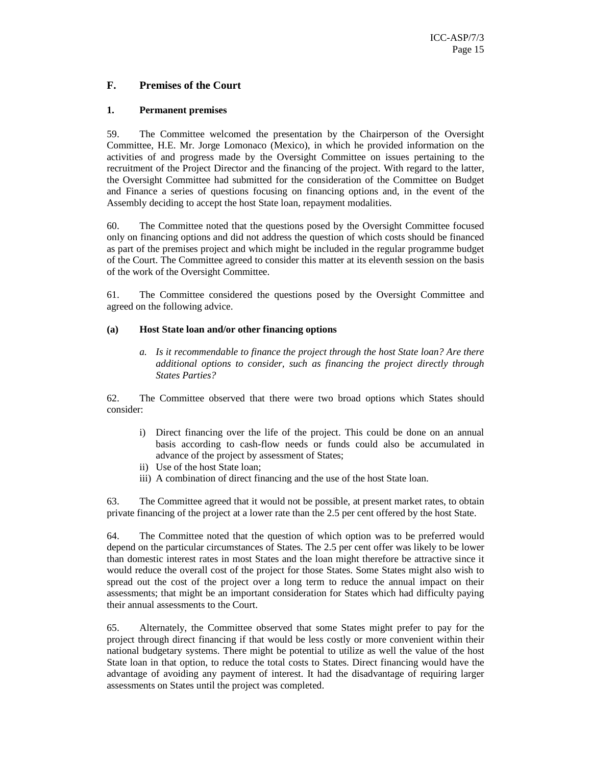#### **F. Premises of the Court**

#### **1. Permanent premises**

59. The Committee welcomed the presentation by the Chairperson of the Oversight Committee, H.E. Mr. Jorge Lomonaco (Mexico), in which he provided information on the activities of and progress made by the Oversight Committee on issues pertaining to the recruitment of the Project Director and the financing of the project. With regard to the latter, the Oversight Committee had submitted for the consideration of the Committee on Budget and Finance a series of questions focusing on financing options and, in the event of the Assembly deciding to accept the host State loan, repayment modalities.

60. The Committee noted that the questions posed by the Oversight Committee focused only on financing options and did not address the question of which costs should be financed as part of the premises project and which might be included in the regular programme budget of the Court. The Committee agreed to consider this matter at its eleventh session on the basis of the work of the Oversight Committee.

61. The Committee considered the questions posed by the Oversight Committee and agreed on the following advice.

#### **(a) Host State loan and/or other financing options**

*a. Is it recommendable to finance the project through the host State loan? Are there additional options to consider, such as financing the project directly through States Parties?* 

62. The Committee observed that there were two broad options which States should consider:

- i) Direct financing over the life of the project. This could be done on an annual basis according to cash-flow needs or funds could also be accumulated in advance of the project by assessment of States;
- ii) Use of the host State loan;
- iii) A combination of direct financing and the use of the host State loan.

63. The Committee agreed that it would not be possible, at present market rates, to obtain private financing of the project at a lower rate than the 2.5 per cent offered by the host State.

64. The Committee noted that the question of which option was to be preferred would depend on the particular circumstances of States. The 2.5 per cent offer was likely to be lower than domestic interest rates in most States and the loan might therefore be attractive since it would reduce the overall cost of the project for those States. Some States might also wish to spread out the cost of the project over a long term to reduce the annual impact on their assessments; that might be an important consideration for States which had difficulty paying their annual assessments to the Court.

65. Alternately, the Committee observed that some States might prefer to pay for the project through direct financing if that would be less costly or more convenient within their national budgetary systems. There might be potential to utilize as well the value of the host State loan in that option, to reduce the total costs to States. Direct financing would have the advantage of avoiding any payment of interest. It had the disadvantage of requiring larger assessments on States until the project was completed.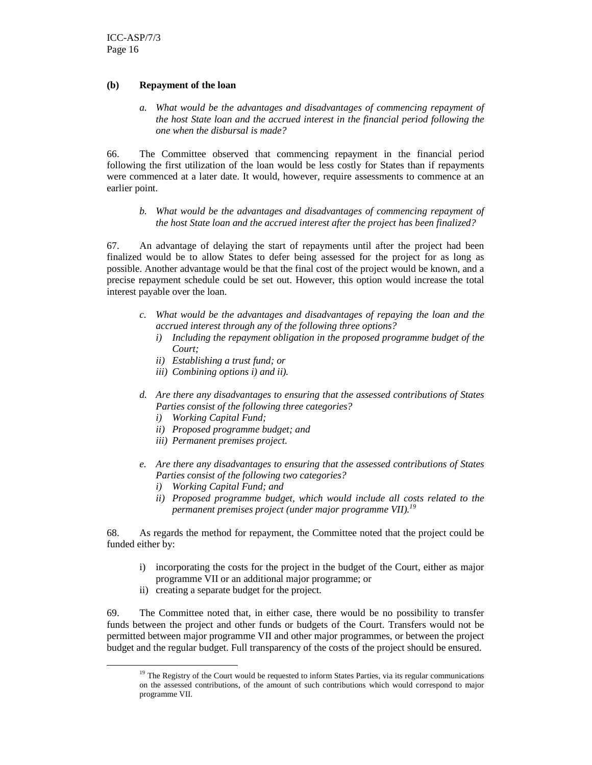#### **(b) Repayment of the loan**

*a. What would be the advantages and disadvantages of commencing repayment of the host State loan and the accrued interest in the financial period following the one when the disbursal is made?* 

66. The Committee observed that commencing repayment in the financial period following the first utilization of the loan would be less costly for States than if repayments were commenced at a later date. It would, however, require assessments to commence at an earlier point.

*b. What would be the advantages and disadvantages of commencing repayment of the host State loan and the accrued interest after the project has been finalized?* 

67. An advantage of delaying the start of repayments until after the project had been finalized would be to allow States to defer being assessed for the project for as long as possible. Another advantage would be that the final cost of the project would be known, and a precise repayment schedule could be set out. However, this option would increase the total interest payable over the loan.

- *c. What would be the advantages and disadvantages of repaying the loan and the accrued interest through any of the following three options?* 
	- *i) Including the repayment obligation in the proposed programme budget of the Court;*
	- *ii) Establishing a trust fund; or*
	- *iii) Combining options i) and ii).*
- *d. Are there any disadvantages to ensuring that the assessed contributions of States Parties consist of the following three categories?* 
	- *i) Working Capital Fund;*
	- *ii) Proposed programme budget; and*
	- *iii) Permanent premises project.*
- *e. Are there any disadvantages to ensuring that the assessed contributions of States Parties consist of the following two categories?* 
	- *i) Working Capital Fund; and*
	- *ii) Proposed programme budget, which would include all costs related to the permanent premises project (under major programme VII).<sup>19</sup>*

68. As regards the method for repayment, the Committee noted that the project could be funded either by:

- i) incorporating the costs for the project in the budget of the Court, either as major programme VII or an additional major programme; or
- ii) creating a separate budget for the project.

-

69. The Committee noted that, in either case, there would be no possibility to transfer funds between the project and other funds or budgets of the Court. Transfers would not be permitted between major programme VII and other major programmes, or between the project budget and the regular budget. Full transparency of the costs of the project should be ensured.

 $19$  The Registry of the Court would be requested to inform States Parties, via its regular communications on the assessed contributions, of the amount of such contributions which would correspond to major programme VII.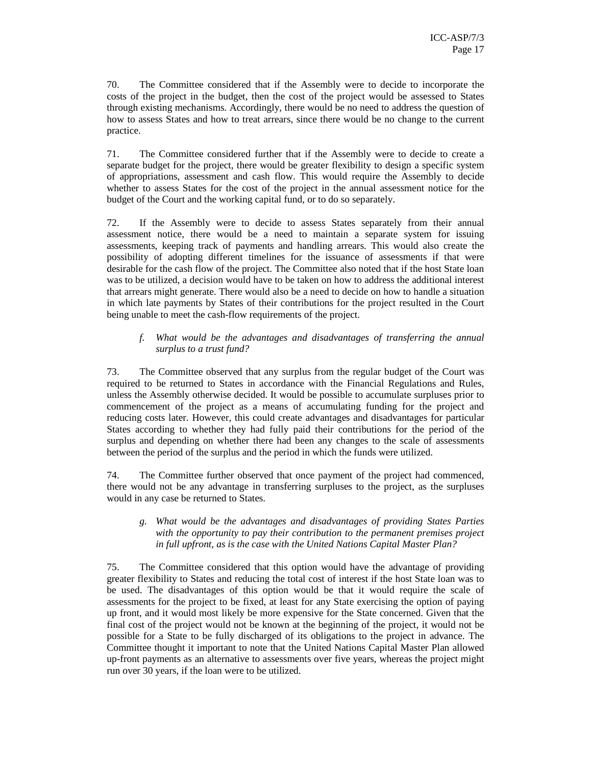70. The Committee considered that if the Assembly were to decide to incorporate the costs of the project in the budget, then the cost of the project would be assessed to States through existing mechanisms. Accordingly, there would be no need to address the question of how to assess States and how to treat arrears, since there would be no change to the current practice.

71. The Committee considered further that if the Assembly were to decide to create a separate budget for the project, there would be greater flexibility to design a specific system of appropriations, assessment and cash flow. This would require the Assembly to decide whether to assess States for the cost of the project in the annual assessment notice for the budget of the Court and the working capital fund, or to do so separately.

72. If the Assembly were to decide to assess States separately from their annual assessment notice, there would be a need to maintain a separate system for issuing assessments, keeping track of payments and handling arrears. This would also create the possibility of adopting different timelines for the issuance of assessments if that were desirable for the cash flow of the project. The Committee also noted that if the host State loan was to be utilized, a decision would have to be taken on how to address the additional interest that arrears might generate. There would also be a need to decide on how to handle a situation in which late payments by States of their contributions for the project resulted in the Court being unable to meet the cash-flow requirements of the project.

#### *f. What would be the advantages and disadvantages of transferring the annual surplus to a trust fund?*

73. The Committee observed that any surplus from the regular budget of the Court was required to be returned to States in accordance with the Financial Regulations and Rules, unless the Assembly otherwise decided. It would be possible to accumulate surpluses prior to commencement of the project as a means of accumulating funding for the project and reducing costs later. However, this could create advantages and disadvantages for particular States according to whether they had fully paid their contributions for the period of the surplus and depending on whether there had been any changes to the scale of assessments between the period of the surplus and the period in which the funds were utilized.

74. The Committee further observed that once payment of the project had commenced, there would not be any advantage in transferring surpluses to the project, as the surpluses would in any case be returned to States.

#### *g. What would be the advantages and disadvantages of providing States Parties with the opportunity to pay their contribution to the permanent premises project in full upfront, as is the case with the United Nations Capital Master Plan?*

75. The Committee considered that this option would have the advantage of providing greater flexibility to States and reducing the total cost of interest if the host State loan was to be used. The disadvantages of this option would be that it would require the scale of assessments for the project to be fixed, at least for any State exercising the option of paying up front, and it would most likely be more expensive for the State concerned. Given that the final cost of the project would not be known at the beginning of the project, it would not be possible for a State to be fully discharged of its obligations to the project in advance. The Committee thought it important to note that the United Nations Capital Master Plan allowed up-front payments as an alternative to assessments over five years, whereas the project might run over 30 years, if the loan were to be utilized.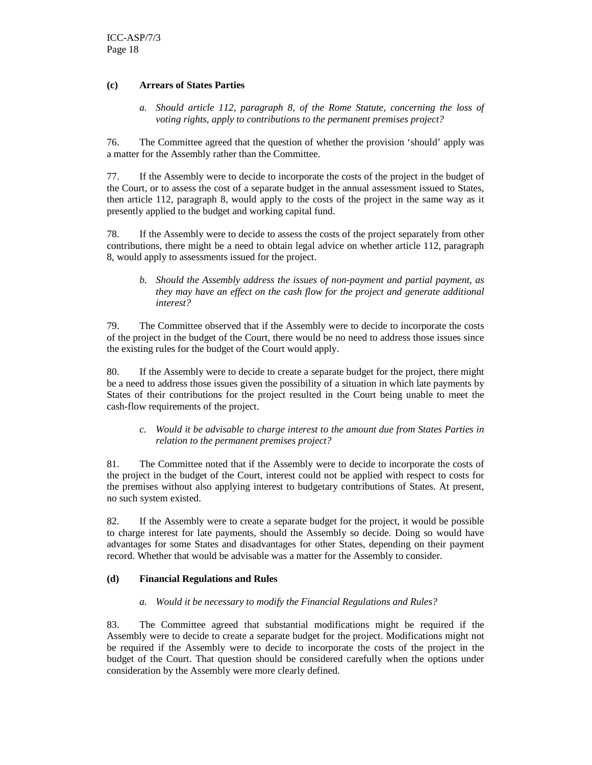#### **(c) Arrears of States Parties**

*a. Should article 112, paragraph 8, of the Rome Statute, concerning the loss of voting rights, apply to contributions to the permanent premises project?* 

76. The Committee agreed that the question of whether the provision 'should' apply was a matter for the Assembly rather than the Committee.

77. If the Assembly were to decide to incorporate the costs of the project in the budget of the Court, or to assess the cost of a separate budget in the annual assessment issued to States, then article 112, paragraph 8, would apply to the costs of the project in the same way as it presently applied to the budget and working capital fund.

78. If the Assembly were to decide to assess the costs of the project separately from other contributions, there might be a need to obtain legal advice on whether article 112, paragraph 8, would apply to assessments issued for the project.

*b. Should the Assembly address the issues of non-payment and partial payment, as they may have an effect on the cash flow for the project and generate additional interest?* 

79. The Committee observed that if the Assembly were to decide to incorporate the costs of the project in the budget of the Court, there would be no need to address those issues since the existing rules for the budget of the Court would apply.

80. If the Assembly were to decide to create a separate budget for the project, there might be a need to address those issues given the possibility of a situation in which late payments by States of their contributions for the project resulted in the Court being unable to meet the cash-flow requirements of the project.

*c. Would it be advisable to charge interest to the amount due from States Parties in relation to the permanent premises project?* 

81. The Committee noted that if the Assembly were to decide to incorporate the costs of the project in the budget of the Court, interest could not be applied with respect to costs for the premises without also applying interest to budgetary contributions of States. At present, no such system existed.

82. If the Assembly were to create a separate budget for the project, it would be possible to charge interest for late payments, should the Assembly so decide. Doing so would have advantages for some States and disadvantages for other States, depending on their payment record. Whether that would be advisable was a matter for the Assembly to consider.

#### **(d) Financial Regulations and Rules**

#### *a. Would it be necessary to modify the Financial Regulations and Rules?*

83. The Committee agreed that substantial modifications might be required if the Assembly were to decide to create a separate budget for the project. Modifications might not be required if the Assembly were to decide to incorporate the costs of the project in the budget of the Court. That question should be considered carefully when the options under consideration by the Assembly were more clearly defined.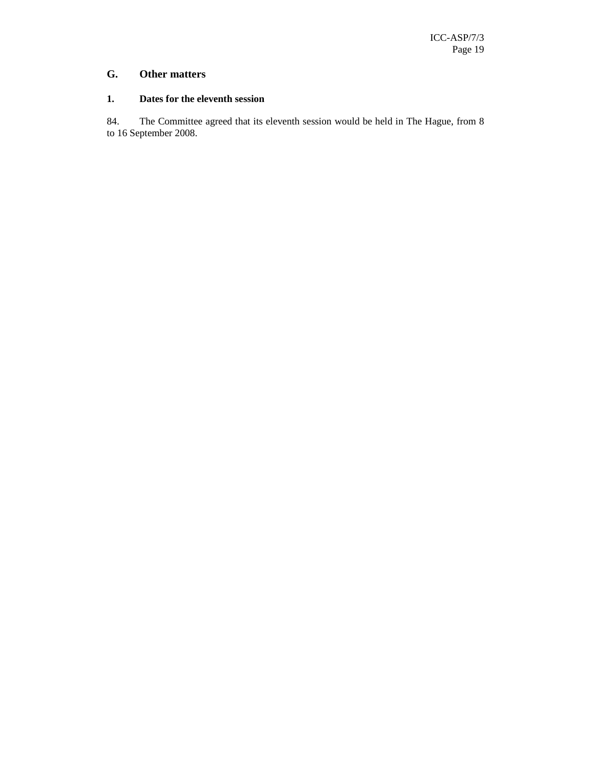## **G. Other matters**

#### **1. Dates for the eleventh session**

84. The Committee agreed that its eleventh session would be held in The Hague, from 8 to 16 September 2008.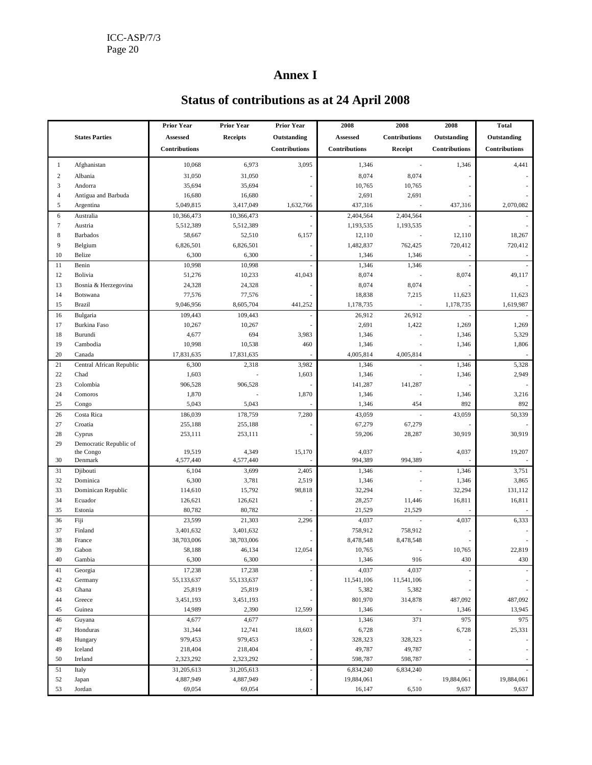## **Annex I**

|                         |                               | <b>Prior Year</b>  | <b>Prior Year</b> | <b>Prior Year</b>        | 2008             | 2008                     | 2008            | <b>Total</b>         |
|-------------------------|-------------------------------|--------------------|-------------------|--------------------------|------------------|--------------------------|-----------------|----------------------|
|                         | <b>States Parties</b>         | Assessed           | <b>Receipts</b>   | Outstanding              | Assessed         | Contributions            | Outstanding     | Outstanding          |
|                         |                               | Contributions      |                   | Contributions            | Contributions    | Receipt                  | Contributions   | <b>Contributions</b> |
| 1                       | Afghanistan                   | 10,068             | 6,973             | 3,095                    | 1,346            | $\overline{\phantom{a}}$ | 1,346           | 4,441                |
| $\overline{\mathbf{c}}$ | Albania                       | 31,050             | 31,050            |                          | 8,074            | 8,074                    |                 |                      |
| 3                       | Andorra                       | 35,694             | 35,694            |                          | 10,765           | 10,765                   |                 |                      |
| $\overline{4}$          | Antigua and Barbuda           | 16,680             | 16,680            |                          | 2,691            | 2,691                    |                 |                      |
| 5                       | Argentina                     | 5,049,815          | 3,417,049         | 1,632,766                | 437,316          |                          | 437,316         | 2,070,082            |
| 6                       | Australia                     | 10,366,473         | 10,366,473        |                          | 2,404,564        | 2,404,564                |                 |                      |
| $\tau$                  | Austria                       | 5,512,389          | 5,512,389         |                          | 1,193,535        | 1,193,535                |                 |                      |
| 8                       | <b>Barbados</b>               | 58,667             | 52,510            | 6,157                    | 12,110           |                          | 12,110          | 18,267               |
| 9                       | Belgium                       | 6,826,501          | 6,826,501         |                          | 1,482,837        | 762,425                  | 720,412         | 720,412              |
| 10                      | Belize                        | 6,300              | 6,300             |                          | 1,346            | 1,346                    |                 |                      |
| 11                      | Benin                         | 10,998             | 10,998            |                          | 1,346            | 1,346                    |                 |                      |
| 12                      | Bolivia                       | 51,276             | 10,233            | 41,043                   | 8,074            |                          | 8,074           | 49,117               |
| 13                      | Bosnia & Herzegovina          | 24,328             | 24,328            |                          | 8,074            | 8,074                    |                 |                      |
| 14                      | Botswana                      | 77,576             | 77,576            |                          | 18,838           | 7,215                    | 11,623          | 11,623               |
| 15                      | <b>Brazil</b>                 | 9,046,956          | 8,605,704         | 441,252                  | 1,178,735        |                          | 1,178,735       | 1,619,987            |
| 16                      | Bulgaria                      | 109,443            | 109,443           |                          | 26,912           | 26,912                   |                 |                      |
| 17                      | <b>Burkina Faso</b>           | 10,267             | 10,267            |                          | 2,691            | 1,422                    | 1,269           | 1,269                |
| 18                      | Burundi                       | 4,677              | 694               | 3,983                    | 1,346            |                          | 1,346           | 5,329                |
| 19                      | Cambodia                      | 10,998             | 10,538            | 460                      | 1,346            |                          | 1,346           | 1,806                |
| 20                      | Canada                        | 17,831,635         | 17,831,635        |                          | 4,005,814        | 4,005,814                |                 |                      |
| 21                      | Central African Republic      | 6,300              | 2,318             | 3,982                    | 1,346            |                          | 1,346           | 5,328                |
| 22                      | Chad                          | 1,603              |                   | 1,603                    | 1,346            |                          | 1,346           | 2,949                |
| 23                      | Colombia                      | 906,528            | 906,528           |                          | 141,287          | 141,287                  |                 |                      |
| 24                      | Comoros                       | 1,870              |                   | 1,870                    | 1,346            |                          | 1,346           | 3,216                |
| 25                      | Congo                         | 5,043              | 5,043             |                          | 1,346            | 454                      | 892             | 892                  |
| 26                      | Costa Rica                    | 186,039            | 178,759           | 7,280                    | 43,059           |                          | 43,059          | 50,339               |
| 27                      | Croatia                       | 255,188            | 255,188           |                          | 67,279           | 67,279                   |                 |                      |
| 28                      | Cyprus                        | 253,111            | 253,111           |                          | 59,206           | 28,287                   | 30,919          | 30,919               |
| 29                      | Democratic Republic of        |                    |                   |                          |                  |                          |                 |                      |
| 30                      | the Congo                     | 19,519             | 4,349             | 15,170                   | 4,037<br>994,389 |                          | 4,037           | 19,207               |
|                         | Denmark                       | 4,577,440          | 4,577,440         |                          |                  | 994,389                  |                 |                      |
| 31                      | Djibouti<br>Dominica          | 6,104              | 3,699             | 2,405                    | 1,346            |                          | 1,346           | 3,751                |
| 32<br>33                |                               | 6,300              | 3,781             | 2,519                    | 1,346            |                          | 1,346<br>32,294 | 3,865<br>131,112     |
| 34                      | Dominican Republic<br>Ecuador | 114,610<br>126,621 | 15,792<br>126,621 | 98,818                   | 32,294<br>28,257 | 11,446                   | 16,811          | 16,811               |
| 35                      | Estonia                       | 80,782             | 80,782            |                          | 21,529           | 21,529                   |                 |                      |
| 36                      | Fiji                          | 23,599             | 21,303            | 2,296                    | 4,037            |                          | 4,037           | 6,333                |
| 37                      | Finland                       | 3,401,632          | 3,401,632         |                          | 758,912          | 758,912                  |                 |                      |
| 38                      | France                        | 38,703,006         | 38,703,006        |                          | 8,478,548        | 8,478,548                |                 |                      |
| 39                      | Gabon                         | 58,188             | 46,134            | 12,054                   | 10,765           |                          | 10,765          | 22,819               |
| 40                      | Gambia                        | 6,300              | 6,300             |                          | 1,346            | 916                      | 430             | 430                  |
| 41                      | Georgia                       | 17,238             | 17,238            |                          | 4,037            | 4,037                    |                 |                      |
| 42                      | Germany                       | 55,133,637         | 55,133,637        |                          | 11,541,106       | 11,541,106               |                 |                      |
| 43                      | Ghana                         | 25,819             | 25,819            |                          | 5,382            | 5,382                    |                 |                      |
| 44                      | Greece                        | 3,451,193          | 3,451,193         |                          | 801,970          | 314,878                  | 487,092         | 487,092              |
| 45                      | Guinea                        | 14,989             | 2,390             | 12,599                   | 1,346            |                          | 1,346           | 13,945               |
| 46                      | Guyana                        | 4,677              | 4,677             |                          | 1,346            | 371                      | 975             | 975                  |
| 47                      | Honduras                      | 31,344             | 12,741            | 18,603                   | 6,728            |                          | 6,728           | 25,331               |
| 48                      | Hungary                       | 979,453            | 979,453           |                          | 328,323          | 328,323                  |                 |                      |
| 49                      | Iceland                       | 218,404            | 218,404           |                          | 49,787           | 49,787                   |                 |                      |
| 50                      | Ireland                       | 2,323,292          | 2,323,292         | $\overline{\phantom{m}}$ | 598,787          | 598,787                  |                 |                      |
| 51                      | Italy                         | 31,205,613         | 31,205,613        | ä,                       | 6,834,240        | 6,834,240                |                 |                      |
| 52                      | Japan                         | 4,887,949          | 4,887,949         |                          | 19,884,061       |                          | 19,884,061      | 19,884,061           |
| 53                      | Jordan                        | 69,054             | 69,054            |                          | 16,147           | 6,510                    | 9,637           | 9,637                |
|                         |                               |                    |                   |                          |                  |                          |                 |                      |

# **Status of contributions as at 24 April 2008**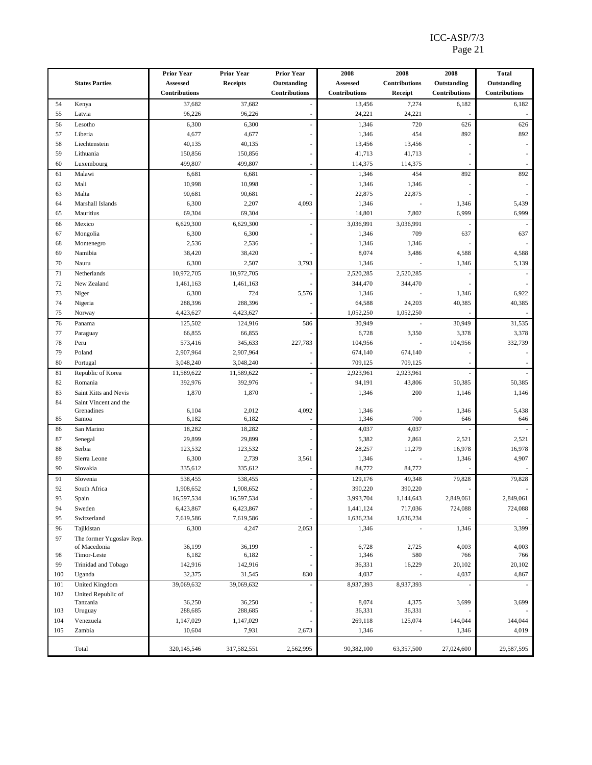#### ICC-ASP/7/3 Page 21

|     |                                          | <b>Prior Year</b>    | <b>Prior Year</b> | <b>Prior Year</b>    | 2008                 | 2008                 | 2008          | <b>Total</b>         |
|-----|------------------------------------------|----------------------|-------------------|----------------------|----------------------|----------------------|---------------|----------------------|
|     | <b>States Parties</b>                    | Assessed             | <b>Receipts</b>   | Outstanding          | Assessed             | <b>Contributions</b> | Outstanding   | Outstanding          |
|     |                                          | <b>Contributions</b> |                   | <b>Contributions</b> | <b>Contributions</b> | Receipt              | Contributions | <b>Contributions</b> |
| 54  | Kenya                                    | 37,682               | 37,682            |                      | 13,456               | 7,274                | 6,182         | 6,182                |
| 55  | Latvia                                   | 96,226               | 96,226            |                      | 24,221               | 24,221               |               |                      |
| 56  | Lesotho                                  | 6,300                | 6,300             |                      | 1,346                | 720                  | 626           | 626                  |
| 57  | Liberia                                  | 4,677                | 4,677             |                      | 1,346                | 454                  | 892           | 892                  |
| 58  | Liechtenstein                            | 40,135               | 40,135            |                      | 13,456               | 13,456               |               |                      |
| 59  | Lithuania                                | 150,856              | 150,856           |                      | 41,713               | 41,713               |               |                      |
| 60  | Luxembourg                               | 499,807              | 499,807           |                      | 114,375              | 114,375              |               |                      |
| 61  | Malawi                                   | 6,681                | 6,681             |                      | 1,346                | 454                  | 892           | 892                  |
| 62  | Mali                                     | 10,998               | 10,998            |                      | 1,346                | 1,346                |               |                      |
| 63  | Malta                                    | 90,681               | 90,681            |                      | 22,875               | 22,875               |               |                      |
| 64  | Marshall Islands                         | 6,300                | 2,207             | 4,093                | 1,346                |                      | 1,346         | 5,439                |
| 65  | Mauritius                                | 69,304               | 69,304            |                      | 14,801               | 7,802                | 6,999         | 6,999                |
| 66  | Mexico                                   | 6,629,300            | 6,629,300         |                      | 3,036,991            | 3,036,991            |               |                      |
| 67  | Mongolia                                 | 6,300                | 6,300             |                      | 1,346                | 709                  | 637           | 637                  |
| 68  | Montenegro                               | 2,536                | 2,536             |                      | 1,346                | 1,346                |               |                      |
| 69  | Namibia                                  | 38,420               | 38,420            |                      | 8,074                | 3,486                | 4,588         | 4,588                |
| 70  | Nauru                                    | 6,300                | 2,507             | 3,793                | 1,346                |                      | 1,346         | 5,139                |
| 71  | Netherlands                              | 10,972,705           | 10,972,705        |                      | 2,520,285            | 2,520,285            |               |                      |
| 72  | New Zealand                              | 1,461,163            | 1,461,163         |                      | 344,470              | 344,470              |               |                      |
| 73  | Niger                                    | 6,300                | 724               | 5,576                | 1,346                |                      | 1,346         | 6,922                |
| 74  | Nigeria                                  | 288,396              | 288,396           |                      | 64,588               | 24,203               | 40,385        | 40,385               |
| 75  | Norway                                   | 4,423,627            | 4,423,627         |                      | 1,052,250            | 1,052,250            |               |                      |
| 76  | Panama                                   | 125,502              | 124,916           | 586                  | 30,949               |                      | 30,949        | 31,535               |
| 77  | Paraguay                                 | 66,855               | 66,855            |                      | 6,728                | 3,350                | 3,378         | 3,378                |
| 78  | Peru                                     | 573,416              | 345,633           | 227,783              | 104,956              |                      | 104,956       | 332,739              |
| 79  | Poland                                   | 2,907,964            | 2,907,964         |                      | 674,140              | 674,140              |               |                      |
| 80  | Portugal                                 | 3,048,240            | 3,048,240         |                      | 709,125              | 709,125              |               |                      |
| 81  | Republic of Korea                        | 11,589,622           | 11,589,622        |                      | 2,923,961            | 2,923,961            |               |                      |
| 82  | Romania                                  | 392,976              | 392,976           |                      | 94,191               | 43,806               | 50,385        | 50,385               |
| 83  | Saint Kitts and Nevis                    | 1,870                | 1,870             |                      | 1,346                | 200                  | 1,146         | 1,146                |
| 84  | Saint Vincent and the                    |                      |                   |                      |                      |                      |               |                      |
|     | Grenadines                               | 6,104                | 2,012             | 4,092                | 1,346                |                      | 1,346         | 5,438                |
| 85  | Samoa                                    | 6,182                | 6,182             |                      | 1,346                | 700                  | 646           | 646                  |
| 86  | San Marino                               | 18,282               | 18,282            |                      | 4,037                | 4,037                |               |                      |
| 87  | Senegal                                  | 29,899               | 29,899            |                      | 5,382                | 2,861                | 2,521         | 2,521                |
| 88  | Serbia                                   | 123,532              | 123,532           |                      | 28,257               | 11,279               | 16,978        | 16,978               |
| 89  | Sierra Leone                             | 6,300                | 2,739             | 3,561                | 1,346                |                      | 1,346         | 4,907                |
| 90  | Slovakia                                 | 335,612              | 335,612           |                      | 84,772               | 84,772               |               |                      |
| 91  | Slovenia                                 | 538,455              | 538,455           |                      | 129,176              | 49,348               | 79,828        | 79,828               |
| 92  | South Africa                             | 1,908,652            | 1,908,652         |                      | 390,220              | 390,220              |               |                      |
| 93  | Spain                                    | 16,597,534           | 16,597,534        |                      | 3,993,704            | 1,144,643            | 2,849,061     | 2,849,061            |
| 94  | Sweden                                   | 6,423,867            | 6,423,867         |                      | 1,441,124            | 717,036              | 724,088       | 724,088              |
| 95  | Switzerland                              | 7,619,586            | 7,619,586         |                      | 1,636,234            | 1,636,234            |               |                      |
| 96  | Tajikistan                               | 6,300                | 4,247             | 2,053                | 1,346                |                      | 1,346         | 3,399                |
| 97  | The former Yugoslav Rep.<br>of Macedonia | 36,199               | 36,199            |                      | 6,728                | 2,725                | 4,003         | 4,003                |
| 98  | Timor-Leste                              | 6,182                | 6,182             |                      | 1,346                | 580                  | 766           | 766                  |
| 99  | Trinidad and Tobago                      | 142,916              | 142,916           |                      | 36,331               | 16,229               | 20,102        | 20,102               |
| 100 | Uganda                                   | 32,375               | 31,545            | 830                  | 4,037                |                      | 4,037         | 4,867                |
| 101 | <b>United Kingdom</b>                    | 39,069,632           | 39,069,632        |                      | 8,937,393            | 8,937,393            |               |                      |
| 102 | United Republic of                       |                      |                   |                      |                      |                      |               |                      |
|     | Tanzania                                 | 36,250               | 36,250            |                      | 8,074                | 4,375                | 3,699         | 3,699                |
| 103 | Uruguay                                  | 288,685              | 288,685           | Ĭ.                   | 36,331               | 36,331               |               |                      |
| 104 | Venezuela                                | 1,147,029            | 1,147,029         |                      | 269,118              | 125,074              | 144,044       | 144,044              |
| 105 | Zambia                                   | 10,604               | 7,931             | 2,673                | 1,346                |                      | 1,346         | 4,019                |
|     |                                          |                      |                   |                      |                      |                      |               |                      |
|     | Total                                    | 320,145,546          | 317,582,551       | 2,562,995            | 90,382,100           | 63,357,500           | 27,024,600    | 29,587,595           |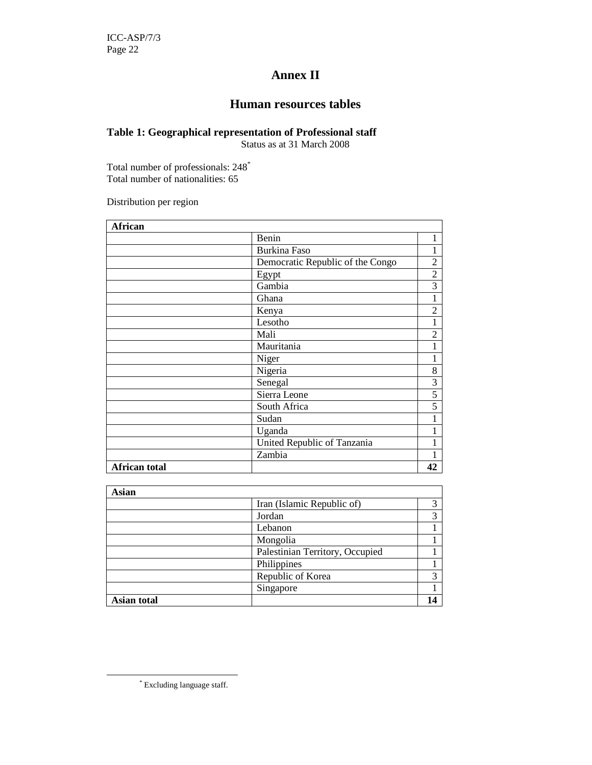## **Annex II**

## **Human resources tables**

## **Table 1: Geographical representation of Professional staff**

Status as at 31 March 2008

Total number of professionals: 248<sup>\*</sup> Total number of nationalities: 65

Distribution per region

| <b>African</b>       |                                  |                |
|----------------------|----------------------------------|----------------|
|                      | Benin                            | 1              |
|                      | <b>Burkina Faso</b>              | 1              |
|                      | Democratic Republic of the Congo | $\overline{c}$ |
|                      | Egypt                            | $\overline{c}$ |
|                      | Gambia                           | $\overline{3}$ |
|                      | Ghana                            | $\mathbf{1}$   |
|                      | Kenya                            | $\overline{2}$ |
|                      | Lesotho                          | $\mathbf{1}$   |
|                      | Mali                             | $\overline{c}$ |
|                      | Mauritania                       | $\mathbf{1}$   |
|                      | Niger                            | 1              |
|                      | Nigeria                          | 8              |
|                      | Senegal                          | 3              |
|                      | Sierra Leone                     | 5              |
|                      | South Africa                     | $\overline{5}$ |
|                      | Sudan                            | $\mathbf{1}$   |
|                      | Uganda                           | 1              |
|                      | United Republic of Tanzania      | 1              |
|                      | Zambia                           |                |
| <b>African total</b> |                                  | 42             |

| Asian       |                                 |             |
|-------------|---------------------------------|-------------|
|             | Iran (Islamic Republic of)      | 3           |
|             | Jordan                          | 3           |
|             | Lebanon                         |             |
|             | Mongolia                        |             |
|             | Palestinian Territory, Occupied |             |
|             | Philippines                     |             |
|             | Republic of Korea               | $\mathbf 3$ |
|             | Singapore                       |             |
| Asian total |                                 |             |

<sup>\*</sup> Excluding language staff.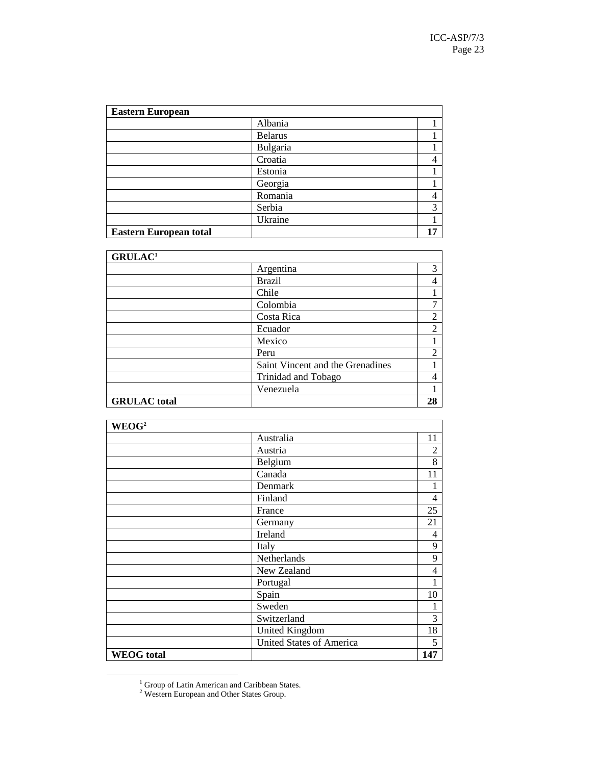| <b>Eastern European</b>       |                |    |  |  |
|-------------------------------|----------------|----|--|--|
|                               | Albania        |    |  |  |
|                               | <b>Belarus</b> |    |  |  |
|                               | Bulgaria       |    |  |  |
|                               | Croatia        |    |  |  |
|                               | Estonia        |    |  |  |
|                               | Georgia        |    |  |  |
|                               | Romania        |    |  |  |
|                               | Serbia         | 3  |  |  |
|                               | Ukraine        |    |  |  |
| <b>Eastern European total</b> |                | 17 |  |  |

| GRULAC <sup>1</sup> |                                  |                |
|---------------------|----------------------------------|----------------|
|                     | Argentina                        | 3              |
|                     | <b>Brazil</b>                    | 4              |
|                     | Chile                            |                |
|                     | Colombia                         |                |
|                     | Costa Rica                       | $\overline{2}$ |
|                     | Ecuador                          | $\overline{2}$ |
|                     | Mexico                           |                |
|                     | Peru                             | $\overline{2}$ |
|                     | Saint Vincent and the Grenadines |                |
|                     | Trinidad and Tobago              |                |
|                     | Venezuela                        |                |
| <b>GRULAC</b> total |                                  | 28             |

| WEOG <sup>2</sup> |                                 |     |
|-------------------|---------------------------------|-----|
|                   | Australia                       | 11  |
|                   | Austria                         | 2   |
|                   | Belgium                         | 8   |
|                   | Canada                          | 11  |
|                   | Denmark                         |     |
|                   | Finland                         | 4   |
|                   | France                          | 25  |
|                   | Germany                         | 21  |
|                   | Ireland                         | 4   |
|                   | Italy                           | 9   |
|                   | Netherlands                     | 9   |
|                   | New Zealand                     | 4   |
|                   | Portugal                        |     |
|                   | Spain                           | 10  |
|                   | Sweden                          |     |
|                   | Switzerland                     | 3   |
|                   | <b>United Kingdom</b>           | 18  |
|                   | <b>United States of America</b> | 5   |
| <b>WEOG</b> total |                                 | 147 |

<sup>&</sup>lt;sup>1</sup> Group of Latin American and Caribbean States.<br><sup>2</sup> Western European and Other States Group.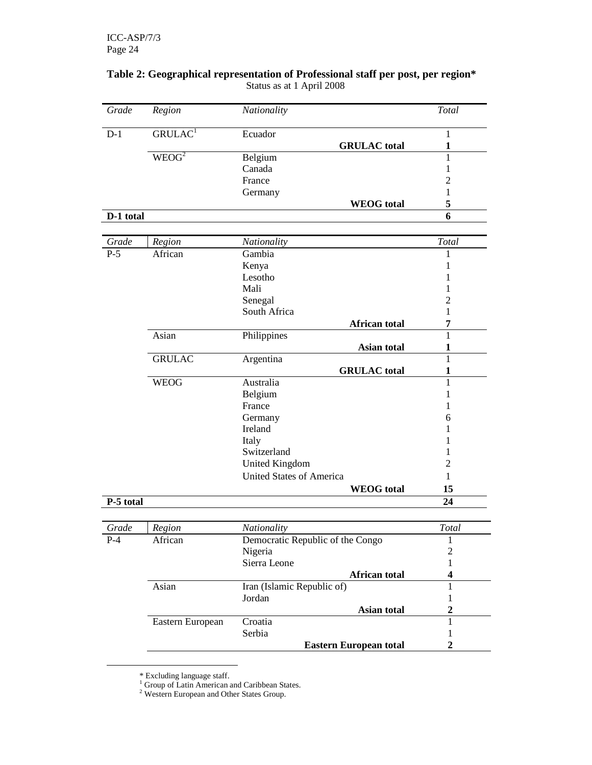| Grade     | Region              | Nationality                      | Total                   |
|-----------|---------------------|----------------------------------|-------------------------|
| $D-1$     | GRULAC <sup>1</sup> | Ecuador                          | 1                       |
|           |                     | <b>GRULAC</b> total              | $\mathbf{1}$            |
|           | WEOG <sup>2</sup>   | Belgium                          | 1                       |
|           |                     | Canada                           | 1                       |
|           |                     | France                           | $\overline{c}$          |
|           |                     | Germany                          | 1                       |
|           |                     | <b>WEOG</b> total                | 5                       |
| D-1 total |                     |                                  | 6                       |
|           |                     |                                  |                         |
| Grade     | Region              | Nationality                      | Total                   |
| $P-5$     | African             | Gambia                           | 1                       |
|           |                     | Kenya                            | 1                       |
|           |                     | Lesotho                          | 1                       |
|           |                     | Mali                             | 1                       |
|           |                     | Senegal                          | $\overline{c}$          |
|           |                     | South Africa                     | 1                       |
|           |                     | African total                    | $\overline{7}$          |
|           | Asian               | Philippines                      | $\mathbf{1}$            |
|           |                     | <b>Asian total</b>               | $\mathbf{1}$            |
|           | <b>GRULAC</b>       | Argentina                        | 1                       |
|           |                     | <b>GRULAC</b> total              | $\mathbf{1}$            |
|           | <b>WEOG</b>         | Australia                        | 1                       |
|           |                     | Belgium                          | 1                       |
|           |                     | France                           | 1                       |
|           |                     | Germany                          | 6                       |
|           |                     | Ireland                          |                         |
|           |                     | Italy                            |                         |
|           |                     | Switzerland                      | 1                       |
|           |                     | <b>United Kingdom</b>            | 2                       |
|           |                     | <b>United States of America</b>  | 1                       |
|           |                     | <b>WEOG</b> total                | 15                      |
|           |                     |                                  |                         |
| P-5 total |                     |                                  | 24                      |
| Grade     | Region              | Nationality                      | Total                   |
| $P-4$     | African             | Democratic Republic of the Congo | 1                       |
|           |                     | Nigeria                          | $\overline{c}$          |
|           |                     | Sierra Leone                     | 1                       |
|           |                     | African total                    | $\overline{\mathbf{4}}$ |
|           | Asian               | Iran (Islamic Republic of)       | 1                       |
|           |                     |                                  |                         |
|           |                     | Jordan                           | 1                       |
|           |                     | Asian total                      | $\overline{2}$          |
|           | Eastern European    | Croatia                          | 1                       |
|           |                     | Serbia                           | 1                       |
|           |                     | <b>Eastern European total</b>    | $\overline{2}$          |

### **Table 2: Geographical representation of Professional staff per post, per region\***  Status as at 1 April 2008

<sup>\*</sup> Excluding language staff. 1 Group of Latin American and Caribbean States. 2 Western European and Other States Group.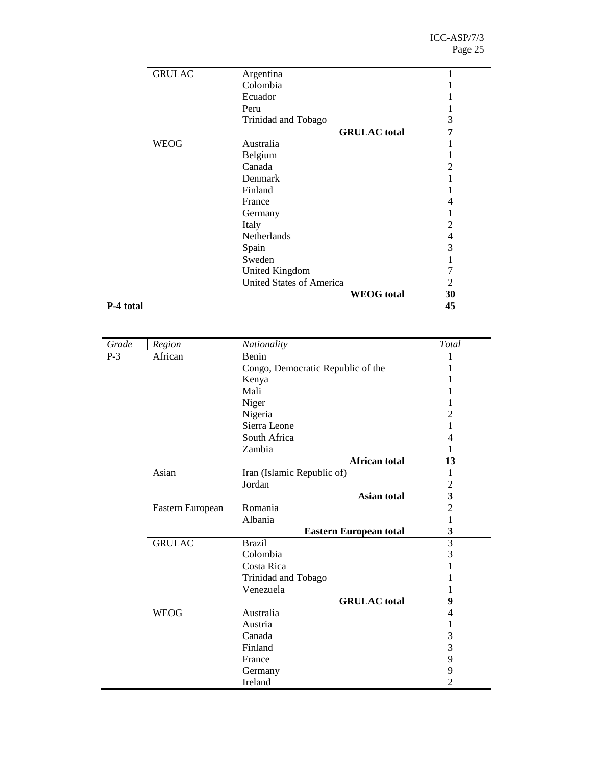|           | <b>GRULAC</b> | Argentina                       | 1              |
|-----------|---------------|---------------------------------|----------------|
|           |               | Colombia                        |                |
|           |               | Ecuador                         |                |
|           |               | Peru                            |                |
|           |               | Trinidad and Tobago             | 3              |
|           |               | <b>GRULAC</b> total             | 7              |
|           | <b>WEOG</b>   | Australia                       | 1              |
|           |               | Belgium                         |                |
|           |               | Canada                          | $\overline{2}$ |
|           |               | Denmark                         |                |
|           |               | Finland                         |                |
|           |               | France                          | 4              |
|           |               | Germany                         | -              |
|           |               | Italy                           | $\overline{c}$ |
|           |               | Netherlands                     | 4              |
|           |               | Spain                           | 3              |
|           |               | Sweden                          | -              |
|           |               | <b>United Kingdom</b>           | 7              |
|           |               | <b>United States of America</b> | 2              |
|           |               | <b>WEOG</b> total               | 30             |
| P-4 total |               |                                 | 45             |

| Grade | Region           | Nationality                       | Total          |
|-------|------------------|-----------------------------------|----------------|
| $P-3$ | African          | Benin                             | 1              |
|       |                  | Congo, Democratic Republic of the | L              |
|       |                  | Kenya                             | 1              |
|       | Mali             |                                   | 1              |
|       |                  | Niger                             | 1              |
|       |                  | Nigeria                           | $\overline{2}$ |
|       |                  | Sierra Leone                      | 1              |
|       |                  | South Africa                      | 4              |
|       |                  | Zambia                            | 1              |
|       |                  | <b>African total</b>              | 13             |
|       | Asian            | Iran (Islamic Republic of)        | 1              |
|       |                  | Jordan                            | $\overline{2}$ |
|       |                  | Asian total                       | 3              |
|       | Eastern European | Romania                           | $\overline{2}$ |
|       |                  | Albania                           | 1              |
|       |                  | <b>Eastern European total</b>     | 3              |
|       | <b>GRULAC</b>    | <b>Brazil</b>                     | $\overline{3}$ |
|       |                  | Colombia                          | 3              |
|       |                  | Costa Rica                        | 1              |
|       |                  | Trinidad and Tobago               | 1              |
|       |                  | Venezuela                         | 1              |
|       |                  | <b>GRULAC</b> total               | 9              |
|       | <b>WEOG</b>      | Australia                         | 4              |
|       |                  | Austria                           | 1              |
|       |                  | Canada                            | 3              |
|       |                  | Finland                           | 3              |
|       |                  | France                            | 9              |
|       |                  | Germany                           | 9              |
|       |                  | Ireland                           | $\overline{2}$ |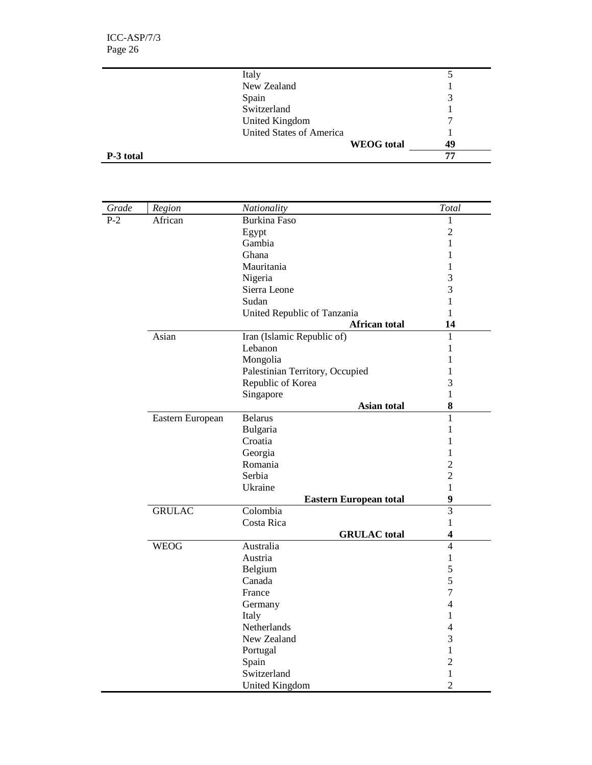|           | Italy                           |    |
|-----------|---------------------------------|----|
|           | New Zealand                     |    |
|           | Spain                           |    |
|           | Switzerland                     |    |
|           | <b>United Kingdom</b>           |    |
|           | <b>United States of America</b> |    |
|           | <b>WEOG</b> total               | 49 |
| P-3 total |                                 | 77 |

| Grade | Region           | Nationality                     | Total                   |
|-------|------------------|---------------------------------|-------------------------|
| $P-2$ | African          | <b>Burkina Faso</b>             | 1                       |
|       |                  | Egypt                           | $\overline{c}$          |
|       |                  | Gambia                          | 1                       |
|       |                  | Ghana                           | 1                       |
|       |                  | Mauritania                      | 1                       |
|       |                  | Nigeria                         | 3                       |
|       |                  | Sierra Leone                    | 3                       |
|       |                  | Sudan                           | $\mathbf{1}$            |
|       |                  | United Republic of Tanzania     | 1                       |
|       |                  | <b>African total</b>            | 14                      |
|       | Asian            | Iran (Islamic Republic of)      | 1                       |
|       |                  | Lebanon                         | $\mathbf{1}$            |
|       |                  | Mongolia                        | 1                       |
|       |                  | Palestinian Territory, Occupied | 1                       |
|       |                  | Republic of Korea               | 3                       |
|       |                  | Singapore                       | $\mathbf{1}$            |
|       |                  | Asian total                     | ${\bf 8}$               |
|       | Eastern European | <b>Belarus</b>                  | $\mathbf{1}$            |
|       |                  | Bulgaria                        | 1                       |
|       |                  | Croatia                         | 1                       |
|       |                  | Georgia                         | 1                       |
|       |                  | Romania                         | $\overline{2}$          |
|       |                  | Serbia                          | $\overline{2}$          |
|       |                  | Ukraine                         | $\mathbf{1}$            |
|       |                  | <b>Eastern European total</b>   | $\boldsymbol{9}$        |
|       | <b>GRULAC</b>    | Colombia                        | $\overline{3}$          |
|       |                  | Costa Rica                      | $\mathbf{1}$            |
|       |                  | <b>GRULAC</b> total             | $\overline{\mathbf{4}}$ |
|       | <b>WEOG</b>      | Australia                       | $\overline{4}$          |
|       |                  | Austria                         | $\mathbf{1}$            |
|       |                  | Belgium                         | 5                       |
|       |                  | Canada                          | 5                       |
|       |                  | France                          | $\overline{7}$          |
|       |                  | Germany                         | $\overline{4}$          |
|       |                  | Italy                           | 1                       |
|       |                  | Netherlands                     | 4                       |
|       |                  | New Zealand                     | 3                       |
|       |                  | Portugal                        | 1                       |
|       |                  | Spain                           | $\overline{2}$          |
|       |                  | Switzerland                     | 1                       |
|       |                  | <b>United Kingdom</b>           | $\overline{2}$          |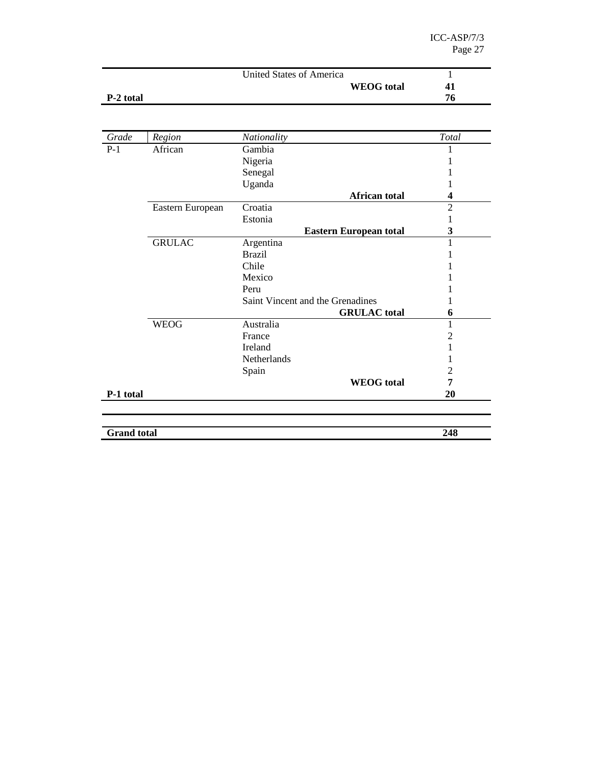|           | United States of America |    |
|-----------|--------------------------|----|
|           | <b>WEOG</b> total        | 41 |
| P-2 total |                          | 76 |

| Grade              | Region           | Nationality                      | Total          |
|--------------------|------------------|----------------------------------|----------------|
| $P-1$              | African          | Gambia                           |                |
|                    |                  | Nigeria                          |                |
|                    |                  | Senegal                          |                |
|                    |                  | Uganda                           |                |
|                    |                  | African total                    | 4              |
|                    | Eastern European | Croatia                          | $\overline{2}$ |
|                    |                  | Estonia                          |                |
|                    |                  | <b>Eastern European total</b>    | 3              |
|                    | <b>GRULAC</b>    | Argentina                        | 1              |
|                    |                  | <b>Brazil</b>                    |                |
|                    |                  | Chile                            |                |
|                    |                  | Mexico                           |                |
|                    |                  | Peru                             |                |
|                    |                  | Saint Vincent and the Grenadines |                |
|                    |                  | <b>GRULAC</b> total              | 6              |
|                    | <b>WEOG</b>      | Australia                        | 1              |
|                    |                  | France                           | 2              |
|                    |                  | <b>Ireland</b>                   |                |
|                    |                  | Netherlands                      |                |
|                    |                  | Spain                            | $\overline{2}$ |
|                    |                  | <b>WEOG</b> total                | 7              |
| P-1 total          |                  |                                  | 20             |
|                    |                  |                                  |                |
|                    |                  |                                  |                |
| <b>Grand</b> total |                  |                                  | 248            |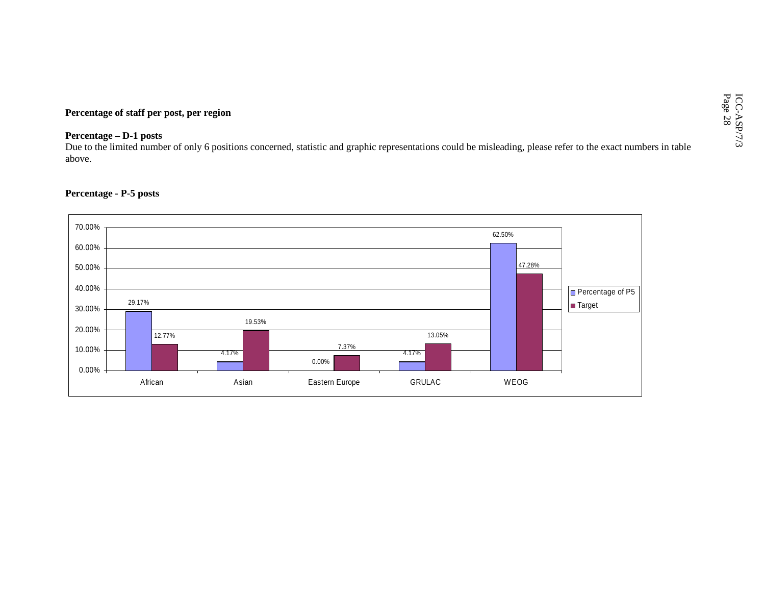Percentage of staff per post, per region<br>Percentage – D-1 posts<br>Due to the limited number of only 6 positions concerned, statistic and graphic representations could be misleading, please refer to the exact numbers in table above.

### **Percentage - P-5 posts**

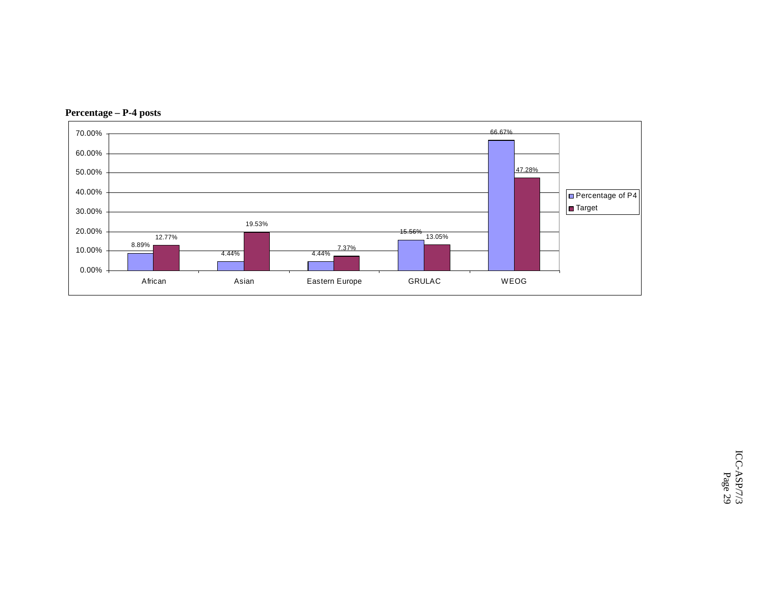

**Percentage – P-4 posts**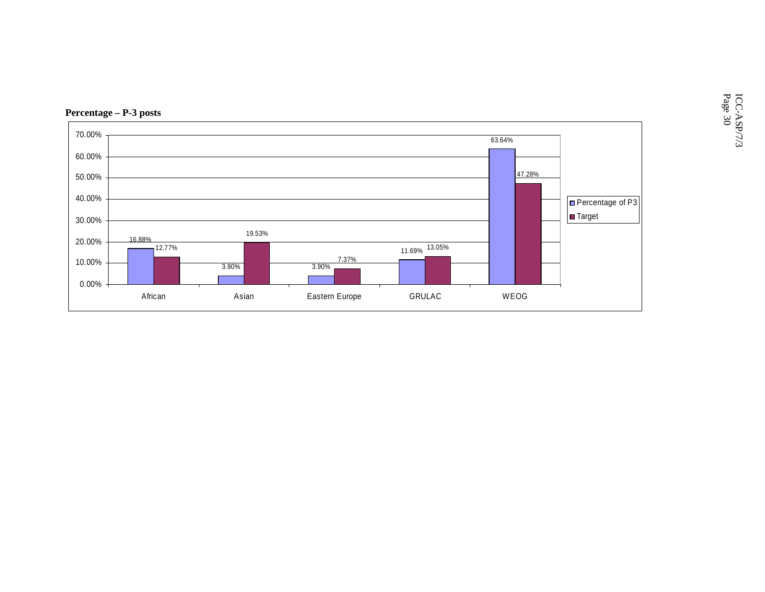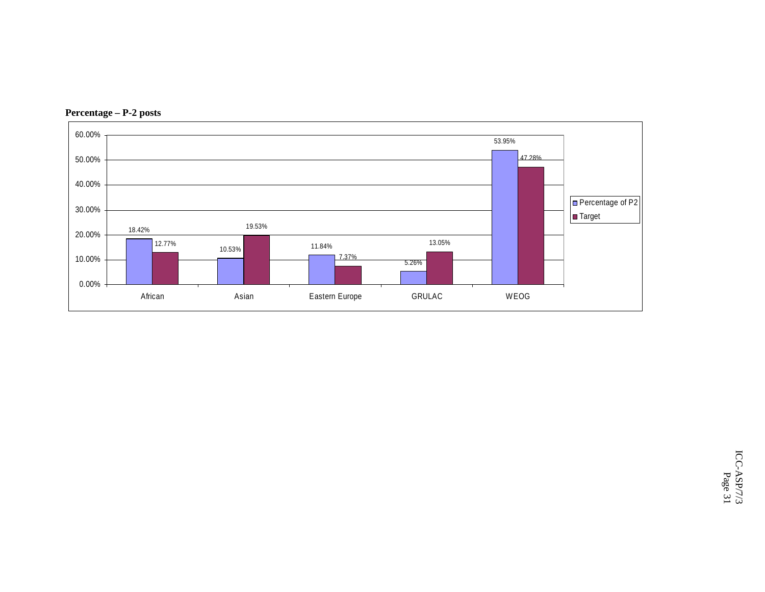

**Percentage – P-2 posts**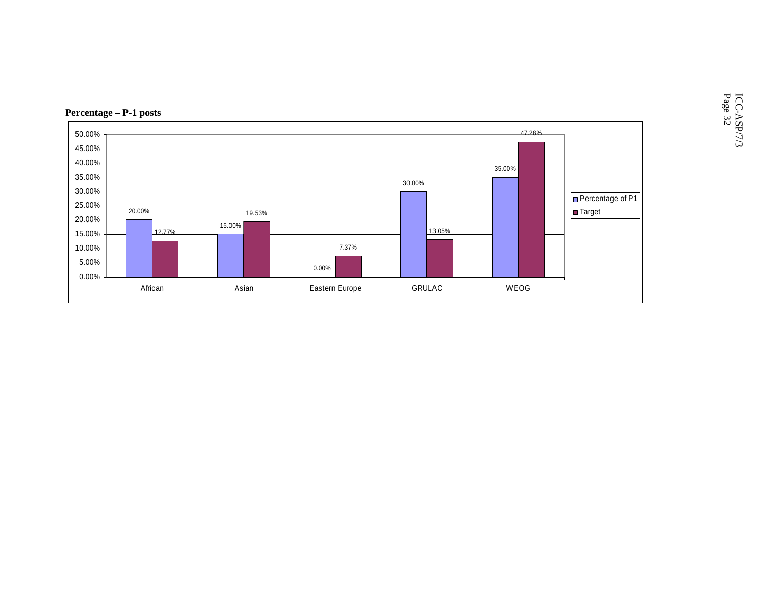

 $\text{ICC-ASP/7/3}$  Page 32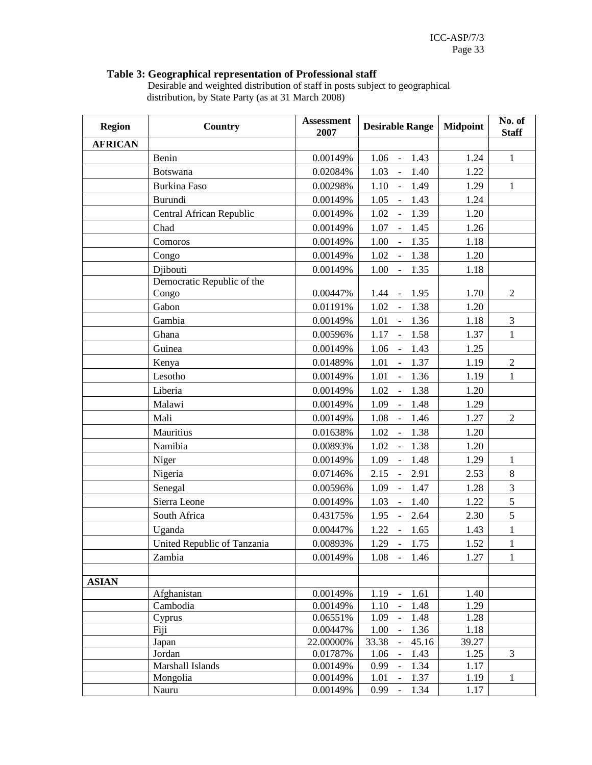## **Table 3: Geographical representation of Professional staff**

 Desirable and weighted distribution of staff in posts subject to geographical distribution, by State Party (as at 31 March 2008)

| <b>Region</b>  | Country                     | <b>Assessment</b><br>2007 | <b>Desirable Range</b>                                             | <b>Midpoint</b> | No. of<br><b>Staff</b> |
|----------------|-----------------------------|---------------------------|--------------------------------------------------------------------|-----------------|------------------------|
| <b>AFRICAN</b> |                             |                           |                                                                    |                 |                        |
|                | Benin                       | 0.00149%                  | 1.06<br>1.43<br>$\sim$                                             | 1.24            | $\mathbf{1}$           |
|                | <b>Botswana</b>             | 0.02084%                  | $\overline{a}$<br>1.40<br>1.03                                     | 1.22            |                        |
|                | Burkina Faso                | 0.00298%                  | 1.10<br>1.49<br>$\mathbb{L}$                                       | 1.29            | $\mathbf{1}$           |
|                | Burundi                     | 0.00149%                  | 1.43<br>1.05<br>$\mathbb{Z}^2$                                     | 1.24            |                        |
|                | Central African Republic    | 0.00149%                  | 1.02<br>1.39<br>$\overline{\phantom{0}}$                           | 1.20            |                        |
|                | Chad                        | 0.00149%                  | 1.07<br>1.45<br>$\overline{\phantom{a}}$                           | 1.26            |                        |
|                | Comoros                     | 0.00149%                  | 1.35<br>$\overline{\phantom{a}}$<br>1.00                           | 1.18            |                        |
|                | Congo                       | 0.00149%                  | 1.02<br>1.38<br>$\bar{\mathbb{Z}}$                                 | 1.20            |                        |
|                | Djibouti                    | 0.00149%                  | 1.00<br>$\mathbb{Z}$<br>1.35                                       | 1.18            |                        |
|                | Democratic Republic of the  |                           |                                                                    |                 |                        |
|                | Congo                       | 0.00447%                  | 1.44<br>1.95<br>$\mathcal{L}_{\mathcal{A}}$                        | 1.70            | $\overline{2}$         |
|                | Gabon                       | 0.01191%                  | 1.02<br>1.38<br>$\mathbb{L}$                                       | 1.20            |                        |
|                | Gambia                      | 0.00149%                  | 1.36<br>1.01<br>$\sim$                                             | 1.18            | 3                      |
|                | Ghana                       | 0.00596%                  | 1.17<br>1.58<br>$\mathbb{L}$                                       | 1.37            | $\mathbf{1}$           |
|                | Guinea                      | 0.00149%                  | 1.06<br>1.43<br>$\mathbb{L}$                                       | 1.25            |                        |
|                | Kenya                       | 0.01489%                  | $\overline{\phantom{a}}$<br>1.37<br>1.01                           | 1.19            | $\overline{c}$         |
|                | Lesotho                     | 0.00149%                  | 1.01<br>1.36<br>$\mathbb{L}$                                       | 1.19            | $\mathbf{1}$           |
|                | Liberia                     | 0.00149%                  | 1.38<br>1.02<br>$\sim$                                             | 1.20            |                        |
|                | Malawi                      | 0.00149%                  | 1.48<br>1.09<br>$\blacksquare$                                     | 1.29            |                        |
|                | Mali                        | 0.00149%                  | 1.08<br>1.46<br>$\Box$                                             | 1.27            | $\overline{2}$         |
|                | Mauritius                   | 0.01638%                  | 1.02<br>$\Box$<br>1.38                                             | 1.20            |                        |
|                | Namibia                     |                           |                                                                    |                 |                        |
|                |                             | 0.00893%                  | 1.02<br>1.38<br>$\equiv$                                           | 1.20            | $\mathbf{1}$           |
|                | Niger                       | 0.00149%                  | 1.09<br>1.48<br>$\sim$                                             | 1.29            |                        |
|                | Nigeria                     | 0.07146%                  | 2.15<br>2.91<br>$\blacksquare$                                     | 2.53            | $\,8\,$                |
|                | Senegal                     | 0.00596%                  | 1.09<br>1.47<br>$\bar{\mathbb{Z}}$                                 | 1.28            | 3                      |
|                | Sierra Leone                | 0.00149%                  | 1.40<br>$\mathbb{L}$<br>1.03                                       | 1.22            | 5                      |
|                | South Africa                | 0.43175%                  | 1.95<br>2.64<br>$\sim$                                             | 2.30            | 5                      |
|                | Uganda                      | 0.00447%                  | 1.22<br>$-1.65$                                                    | 1.43            | $\mathbf{1}$           |
|                | United Republic of Tanzania | 0.00893%                  | 1.29<br>$-1.75$                                                    | 1.52            | $\,1$                  |
|                | Zambia                      | 0.00149%                  | $1.08 - 1.46$                                                      | 1.27            | $\mathbf{1}$           |
| <b>ASIAN</b>   |                             |                           |                                                                    |                 |                        |
|                | Afghanistan                 | 0.00149%                  | 1.19<br>1.61<br>$\Box$                                             | 1.40            |                        |
|                | Cambodia                    | 0.00149%                  | $\overline{a}$<br>1.48<br>1.10                                     | 1.29            |                        |
|                | Cyprus                      | 0.06551%                  | 1.09<br>1.48<br>$\overline{\phantom{a}}$                           | 1.28            |                        |
|                | Fiji                        | 0.00447%                  | 1.36<br>1.00<br>$\Box$                                             | 1.18            |                        |
|                | Japan                       | 22.00000%                 | 33.38<br>45.16                                                     | 39.27           |                        |
|                | Jordan<br>Marshall Islands  | 0.01787%                  | 1.06<br>1.43<br>$\overline{\phantom{0}}$<br>1.34                   | 1.25            | $\mathfrak{Z}$         |
|                | Mongolia                    | 0.00149%<br>0.00149%      | 0.99<br>$\blacksquare$<br>1.01<br>1.37<br>$\overline{\phantom{a}}$ | 1.17<br>1.19    | 1                      |
|                | Nauru                       | 0.00149%                  | 0.99<br>1.34<br>$\overline{\phantom{a}}$                           | 1.17            |                        |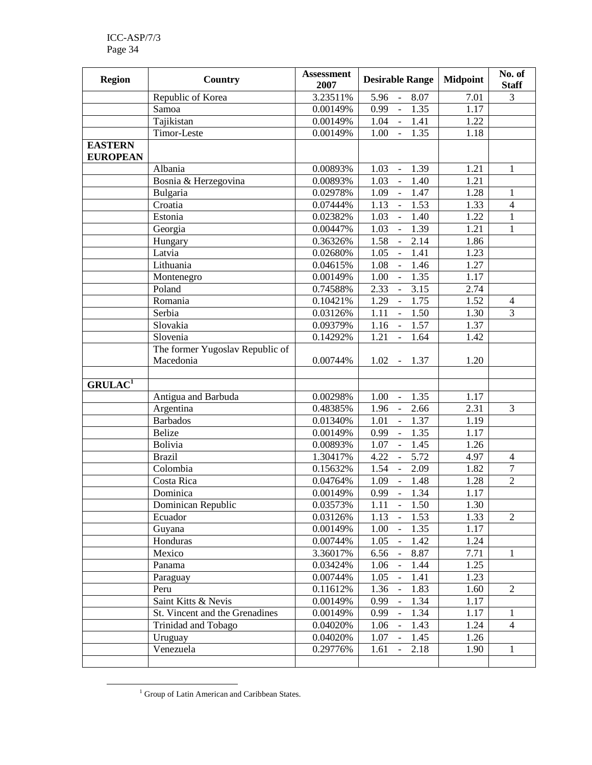| <b>Region</b>                     | Country                         | <b>Assessment</b><br>2007 | <b>Desirable Range</b>                       | <b>Midpoint</b> | No. of<br><b>Staff</b> |
|-----------------------------------|---------------------------------|---------------------------|----------------------------------------------|-----------------|------------------------|
|                                   | Republic of Korea               | 3.23511%                  | 8.07<br>5.96<br>$\overline{\phantom{a}}$     | 7.01            | 3                      |
|                                   | Samoa                           | 0.00149%                  | 1.35<br>0.99<br>$\Box$                       | 1.17            |                        |
|                                   | Tajikistan                      | 0.00149%                  | 1.04<br>1.41<br>$\overline{\phantom{a}}$     | 1.22            |                        |
|                                   | Timor-Leste                     | 0.00149%                  | 1.35<br>1.00<br>$\blacksquare$               | 1.18            |                        |
| <b>EASTERN</b><br><b>EUROPEAN</b> |                                 |                           |                                              |                 |                        |
|                                   | Albania                         | 0.00893%                  | 1.03<br>1.39<br>$\omega$                     | 1.21            | $\mathbf{1}$           |
|                                   | Bosnia & Herzegovina            | 0.00893%                  | 1.03<br>$\Box$<br>1.40                       | 1.21            |                        |
|                                   | Bulgaria                        | 0.02978%                  | $\overline{a}$<br>1.09<br>1.47               | 1.28            | $\mathbf{1}$           |
|                                   | Croatia                         | 0.07444%                  | $\frac{1}{2}$<br>1.13<br>1.53                | 1.33            | $\overline{4}$         |
|                                   | Estonia                         | 0.02382%                  | 1.03<br>$\overline{1.40}$<br>$\overline{a}$  | 1.22            | $\mathbf{1}$           |
|                                   | Georgia                         | 0.00447%                  | $\Box$<br>1.39<br>1.03                       | 1.21            | $\mathbf{1}$           |
|                                   | Hungary                         | 0.36326%                  | 1.58<br>2.14<br>$\overline{a}$               | 1.86            |                        |
|                                   | Latvia                          | 0.02680%                  | 1.41<br>1.05<br>$\overline{\phantom{a}}$     | 1.23            |                        |
|                                   | Lithuania                       | 0.04615%                  | 1.46<br>1.08                                 | 1.27            |                        |
|                                   | Montenegro                      | 0.00149%                  | 1.35<br>1.00                                 | 1.17            |                        |
|                                   | Poland                          | 0.74588%                  | 2.33<br>3.15<br>$\blacksquare$               | 2.74            |                        |
|                                   | Romania                         | 0.10421%                  | 1.29<br>1.75<br>$\blacksquare$               | 1.52            | $\overline{4}$         |
|                                   | Serbia                          | 0.03126%                  | 1.11<br>1.50<br>$\blacksquare$               | 1.30            | $\overline{3}$         |
|                                   | Slovakia                        | 0.09379%                  | 1.57<br>1.16<br>$\mathbb{L}$                 | 1.37            |                        |
|                                   | Slovenia                        | 0.14292%                  | 1.21<br>1.64<br>$\mathbb{L}$                 | 1.42            |                        |
|                                   | The former Yugoslav Republic of |                           |                                              |                 |                        |
|                                   | Macedonia                       | 0.00744%                  | $1.02 - 1.37$                                | 1.20            |                        |
| GRULAC <sup>1</sup>               |                                 |                           |                                              |                 |                        |
|                                   | Antigua and Barbuda             | 0.00298%                  | 1.00<br>1.35<br>$\blacksquare$               | 1.17            |                        |
|                                   | Argentina                       | 0.48385%                  | 1.96<br>2.66<br>$\mathbb{L}$                 | 2.31            | $\overline{3}$         |
|                                   | <b>Barbados</b>                 | 0.01340%                  | $\overline{a}$<br>1.37<br>1.01               | 1.19            |                        |
|                                   | <b>Belize</b>                   | 0.00149%                  | 1.35<br>0.99<br>÷,                           | 1.17            |                        |
|                                   | <b>Bolivia</b>                  | 0.00893%                  | 1.07<br>1.45                                 | 1.26            |                        |
|                                   | <b>Brazil</b>                   | 1.30417%                  | 5.72<br>4.22<br>$\qquad \qquad \blacksquare$ | 4.97            | $\overline{4}$         |
|                                   | Colombia                        | 0.15632%                  | 1.54<br>2.09<br>$\overline{\phantom{a}}$     | 1.82            | $\boldsymbol{7}$       |
|                                   | Costa Rica                      | 0.04764%                  | 1.09<br>1.48<br>$\blacksquare$               | 1.28            | $\overline{c}$         |
|                                   | Dominica                        | 0.00149%                  | 1.34<br>0.99<br>$\blacksquare$               | 1.17            |                        |
|                                   | Dominican Republic              | 0.03573%                  | 1.11<br>1.50<br>$\bar{\mathcal{L}}$          | 1.30            |                        |
|                                   | Ecuador                         | 0.03126%                  | 1.13<br>1.53<br>$\overline{a}$               | 1.33            | $\overline{2}$         |
|                                   | Guyana                          | 0.00149%                  | $\overline{a}$<br>1.35<br>1.00               | 1.17            |                        |
|                                   | Honduras                        | 0.00744%                  | $\overline{a}$<br>1.05<br>1.42               | 1.24            |                        |
|                                   | Mexico                          | 3.36017%                  | $\frac{1}{\sqrt{2}}$<br>6.56<br>8.87         | 7.71            | $\mathbf{1}$           |
|                                   | Panama                          | 0.03424%                  | 1.06<br>1.44<br>$\overline{\phantom{a}}$     | 1.25            |                        |
|                                   | Paraguay                        | 0.00744%                  | 1.05<br>1.41<br>$\overline{a}$               | 1.23            |                        |
|                                   | Peru                            | 0.11612%                  | 1.36<br>1.83<br>$\overline{\phantom{a}}$     | 1.60            | $\mathbf{2}$           |
|                                   | Saint Kitts & Nevis             | 0.00149%                  | 0.99<br>1.34                                 | 1.17            |                        |
|                                   | St. Vincent and the Grenadines  | 0.00149%                  | 0.99<br>1.34                                 | 1.17            | $\mathbf{1}$           |
|                                   | Trinidad and Tobago             | 0.04020%                  | 1.06<br>1.43                                 | 1.24            | $\overline{4}$         |
|                                   | Uruguay                         | 0.04020%                  | 1.07<br>1.45<br>$\overline{\phantom{a}}$     | 1.26            |                        |
|                                   | Venezuela                       | 0.29776%                  | 2.18<br>1.61<br>$\blacksquare$               | 1.90            | $\mathbf{1}$           |
|                                   |                                 |                           |                                              |                 |                        |

<sup>&</sup>lt;sup>1</sup> Group of Latin American and Caribbean States.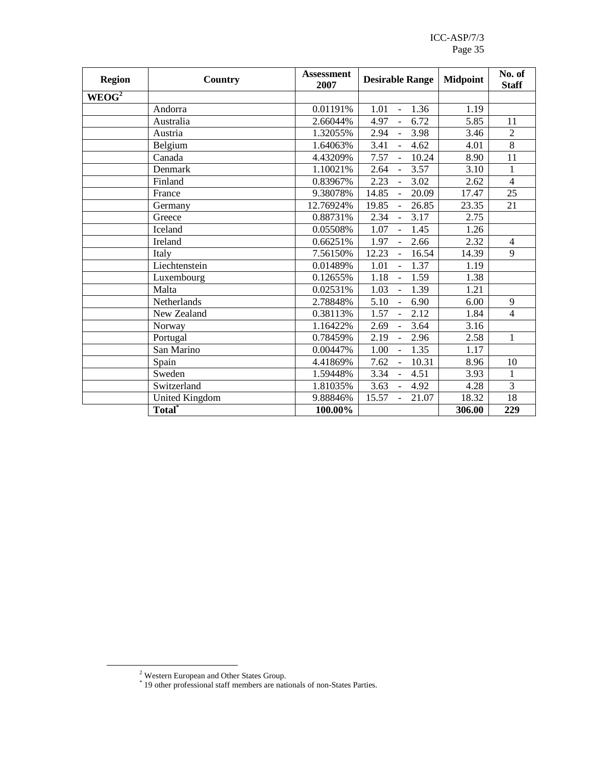ICC-ASP/7/3 Page 35

| <b>Region</b>     | Country                     | <b>Assessment</b><br>2007 | <b>Desirable Range</b>                    | <b>Midpoint</b> | No. of<br><b>Staff</b> |
|-------------------|-----------------------------|---------------------------|-------------------------------------------|-----------------|------------------------|
| WEOG <sup>2</sup> |                             |                           |                                           |                 |                        |
|                   | Andorra                     | 0.01191%                  | 1.36<br>1.01<br>$\equiv$                  | 1.19            |                        |
|                   | Australia                   | 2.66044%                  | 6.72<br>4.97<br>$\mathcal{L}^{\pm}$       | 5.85            | 11                     |
|                   | Austria                     | 1.32055%                  | 2.94<br>3.98<br>$\blacksquare$            | 3.46            | $\overline{2}$         |
|                   | Belgium                     | 1.64063%                  | 4.62<br>3.41                              | 4.01            | $\overline{8}$         |
|                   | Canada                      | 4.43209%                  | 7.57<br>10.24<br>$\mathbb{L}$             | 8.90            | 11                     |
|                   | Denmark                     | 1.10021%                  | 3.57<br>2.64<br>$\mathbb{L}$              | 3.10            | $\mathbf{1}$           |
|                   | Finland                     | 0.83967%                  | 2.23<br>3.02<br>$\Box$                    | 2.62            | $\overline{4}$         |
|                   | France                      | 9.38078%                  | 14.85<br>20.09<br>$\blacksquare$          | 17.47           | 25                     |
|                   | Germany                     | 12.76924%                 | 26.85<br>19.85<br>$\mathbf{r}$            | 23.35           | 21                     |
|                   | Greece                      | 0.88731%                  | 2.34<br>3.17<br>$\Box$                    | 2.75            |                        |
|                   | Iceland                     | 0.05508%                  | 1.07<br>$\overline{a}$<br>1.45            | 1.26            |                        |
|                   | Ireland                     | 0.66251%                  | 1.97<br>2.66<br>$\mathbb{L}$              | 2.32            | $\overline{4}$         |
|                   | Italy                       | 7.56150%                  | 12.23<br>16.54<br>$\frac{1}{2}$           | 14.39           | 9                      |
|                   | Liechtenstein               | 0.01489%                  | 1.37<br>1.01<br>$\bar{\phantom{a}}$       | 1.19            |                        |
|                   | Luxembourg                  | 0.12655%                  | 1.18<br>1.59<br>$\overline{a}$            | 1.38            |                        |
|                   | Malta                       | 0.02531%                  | 1.03<br>1.39<br>$\bar{\phantom{a}}$       | 1.21            |                        |
|                   | Netherlands                 | 2.78848%                  | 5.10<br>6.90<br>$\overline{\phantom{a}}$  | 6.00            | 9                      |
|                   | New Zealand                 | 0.38113%                  | 1.57<br>2.12                              | 1.84            | $\overline{4}$         |
|                   | Norway                      | 1.16422%                  | 2.69<br>3.64<br>$\overline{a}$            | 3.16            |                        |
|                   | Portugal                    | 0.78459%                  | 2.19<br>2.96<br>$\frac{1}{2}$             | 2.58            | $\mathbf{1}$           |
|                   | San Marino                  | 0.00447%                  | 1.00<br>1.35<br>$\blacksquare$            | 1.17            |                        |
|                   | Spain                       | 4.41869%                  | 7.62<br>10.31<br>$\blacksquare$           | 8.96            | 10                     |
|                   | Sweden                      | 1.59448%                  | 3.34<br>4.51<br>$\mathbb{L}^{\mathbb{N}}$ | 3.93            | $\mathbf{1}$           |
|                   | Switzerland                 | 1.81035%                  | 3.63<br>4.92<br>$\blacksquare$            | 4.28            | 3                      |
|                   | <b>United Kingdom</b>       | 9.88846%                  | 15.57<br>21.07<br>$\sim$                  | 18.32           | 18                     |
|                   | $\overline{\text{Total}}^*$ | 100.00%                   |                                           | 306.00          | 229                    |

<sup>2</sup> Western European and Other States Group. \* 19 other professional staff members are nationals of non-States Parties.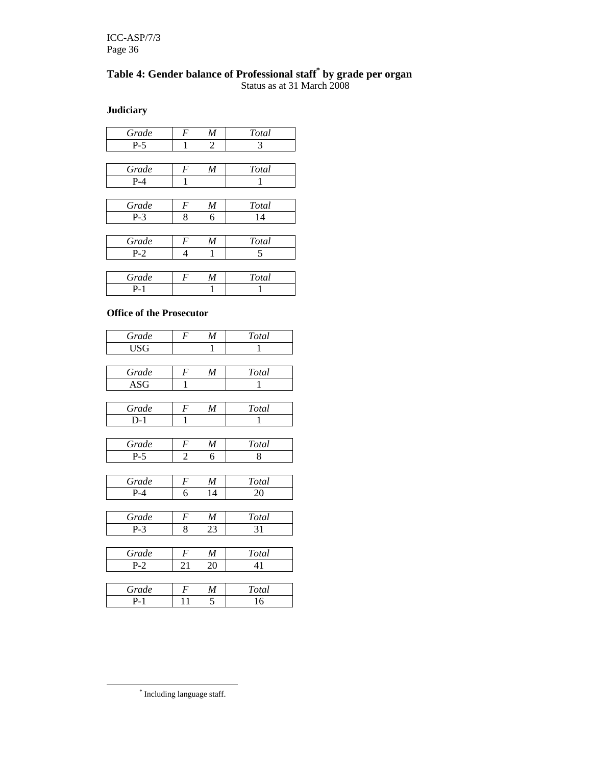### **Table 4: Gender balance of Professional staff\* by grade per organ**  Status as at 31 March 2008

**Judiciary** 

| Grade   | М | Total |
|---------|---|-------|
| $P-5$   |   |       |
|         |   |       |
| Grade   | M | Total |
| $P - 4$ |   |       |

| Grade | V | Total |
|-------|---|-------|
|       |   |       |

P-4 | 1 | 1

| Grade | ۱. | 'otal |
|-------|----|-------|
|       |    |       |

| Grade |  | Total |
|-------|--|-------|
|       |  |       |

#### **Office of the Prosecutor**

| Total<br>1 |
|------------|
|            |
|            |
|            |
| Total      |
| 1          |
|            |
| Total      |
| 1          |
|            |
| Total      |
| 8          |
|            |
| Total      |
| 20         |
|            |
| Total      |
| 31         |
|            |
| Total      |
| 41         |
|            |
|            |
| Total      |
|            |

\* Including language staff.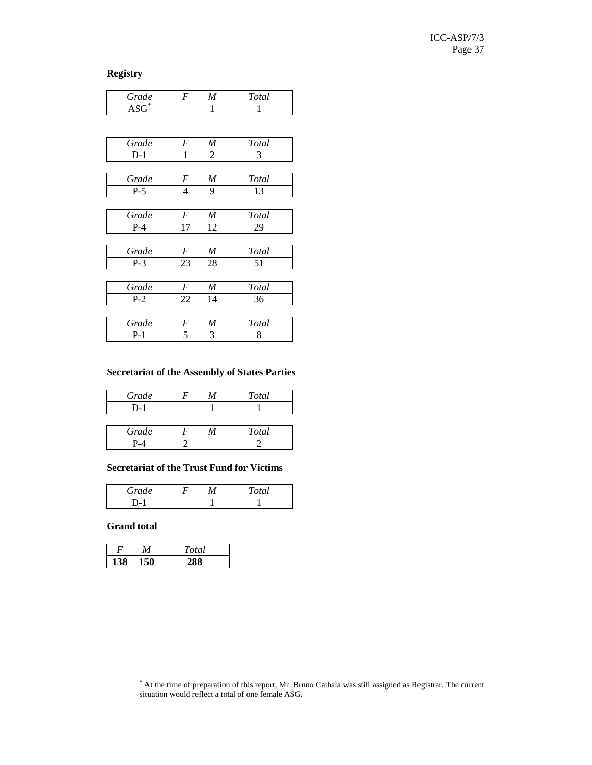**Registry** 

| Grade          | $\boldsymbol{F}$ | M  | <b>Total</b> |
|----------------|------------------|----|--------------|
| $\text{ASG}^*$ |                  | 1  | 1            |
|                |                  |    |              |
|                |                  |    |              |
| Grade          | F                | M  | Total        |
| $D-1$          | 1                | 2  | 3            |
|                |                  |    |              |
| Grade          | F                | M  | Total        |
| $P-5$          | 4                | 9  | 13           |
|                |                  |    |              |
| Grade          | F                | M  | Total        |
| $P-4$          | 17               | 12 | 29           |
|                |                  |    |              |
| Grade          | F                | M  | Total        |
| $P-3$          | 23               | 28 | 51           |
|                |                  |    |              |
| Grade          | $\boldsymbol{F}$ | M  | Total        |
| $P-2$          | 22               | 14 | 36           |
|                |                  |    |              |
| Grade          | F                | M  | Total        |
| $P-1$          | 5                | 3  | 8            |
|                |                  |    |              |

#### **Secretariat of the Assembly of States Parties**

| Total |
|-------|
|       |
|       |

| Grade |  | $\overline{a}$ |
|-------|--|----------------|
|       |  |                |

#### **Secretariat of the Trust Fund for Victims**

| Grade |  | $\bm{u}$<br>ັ |
|-------|--|---------------|
|       |  |               |

#### **Grand total**

|  | 'otal |
|--|-------|
|  |       |

<sup>\*</sup> At the time of preparation of this report, Mr. Bruno Cathala was still assigned as Registrar. The current situation would reflect a total of one female ASG.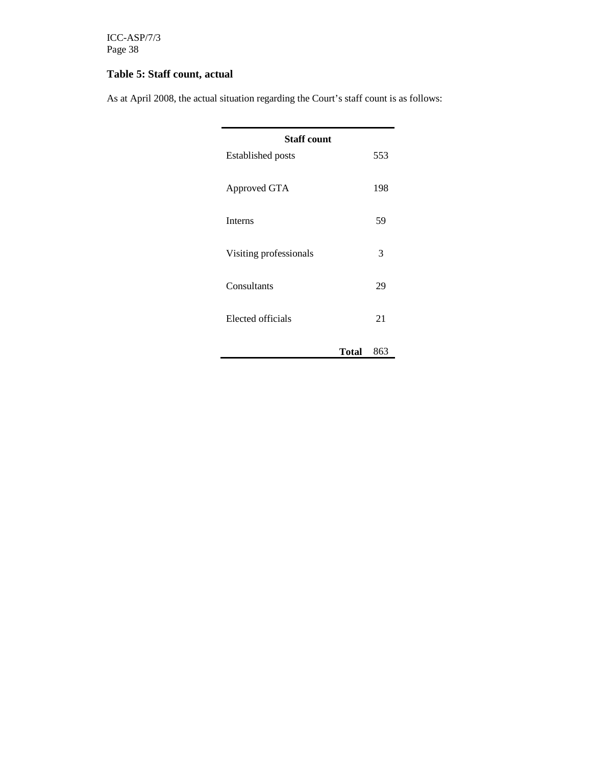ICC-ASP/7/3 Page 38

## **Table 5: Staff count, actual**

As at April 2008, the actual situation regarding the Court's staff count is as follows:

| <b>Staff count</b><br><b>Established posts</b> | 553 |
|------------------------------------------------|-----|
| Approved GTA                                   | 198 |
| <b>Interns</b>                                 | 59  |
| Visiting professionals                         | 3   |
| Consultants                                    | 29  |
| Elected officials                              | 21  |
| Total                                          | 863 |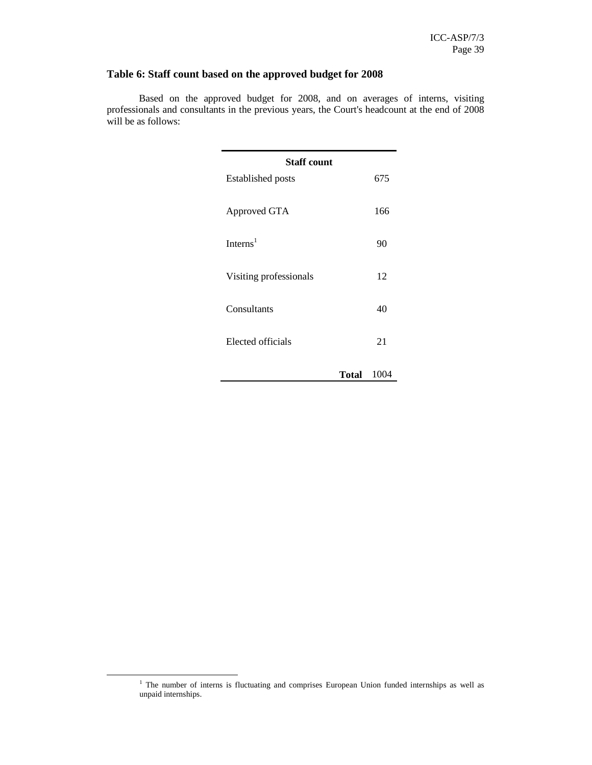### **Table 6: Staff count based on the approved budget for 2008**

Based on the approved budget for 2008, and on averages of interns, visiting professionals and consultants in the previous years, the Court's headcount at the end of 2008 will be as follows:

| <b>Staff count</b>       |      |
|--------------------------|------|
| <b>Established posts</b> | 675  |
| Approved GTA             | 166  |
| Interns <sup>1</sup>     | 90   |
| Visiting professionals   | 12   |
| Consultants              | 40   |
| Elected officials        | 21   |
| <b>Total</b>             | 1004 |

<sup>&</sup>lt;sup>1</sup> The number of interns is fluctuating and comprises European Union funded internships as well as unpaid internships.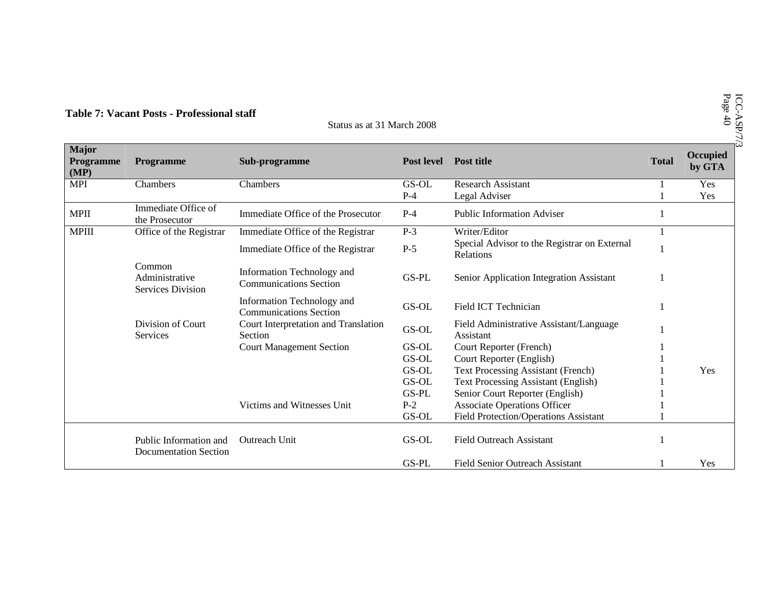| Page 40<br>Table 7: Vacant Posts - Professional staff<br>Status as at 31 March 2008          |                                                        |                                                             |                                                      |                                                           |              |                    |
|----------------------------------------------------------------------------------------------|--------------------------------------------------------|-------------------------------------------------------------|------------------------------------------------------|-----------------------------------------------------------|--------------|--------------------|
| <b>Major</b><br>Programme<br>(MP)                                                            | Programme                                              | Sub-programme                                               | <b>Post level</b>                                    | <b>Post title</b>                                         | <b>Total</b> | Occupied<br>by GTA |
| <b>MPI</b>                                                                                   | Chambers                                               | Chambers                                                    | GS-OL                                                | <b>Research Assistant</b>                                 |              | Yes                |
|                                                                                              |                                                        |                                                             | $P-4$                                                | Legal Adviser                                             |              | Yes                |
| <b>MPII</b>                                                                                  | Immediate Office of<br>the Prosecutor                  | Immediate Office of the Prosecutor                          | $P-4$                                                | <b>Public Information Adviser</b>                         |              |                    |
| <b>MPIII</b>                                                                                 | Office of the Registrar                                | Immediate Office of the Registrar                           | $P-3$                                                | Writer/Editor                                             |              |                    |
|                                                                                              |                                                        | Immediate Office of the Registrar                           | $P-5$                                                | Special Advisor to the Registrar on External<br>Relations |              |                    |
| Common<br>Administrative<br><b>Services Division</b><br>Division of Court<br><b>Services</b> |                                                        | Information Technology and<br><b>Communications Section</b> | GS-PL                                                | Senior Application Integration Assistant                  |              |                    |
|                                                                                              |                                                        | Information Technology and<br><b>Communications Section</b> | GS-OL                                                | Field ICT Technician                                      |              |                    |
|                                                                                              | Court Interpretation and Translation<br>Section        | GS-OL                                                       | Field Administrative Assistant/Language<br>Assistant |                                                           |              |                    |
|                                                                                              |                                                        | <b>Court Management Section</b>                             | GS-OL                                                | Court Reporter (French)                                   |              |                    |
|                                                                                              |                                                        |                                                             | GS-OL                                                | Court Reporter (English)                                  |              |                    |
|                                                                                              |                                                        |                                                             | GS-OL                                                | <b>Text Processing Assistant (French)</b>                 |              | Yes                |
|                                                                                              |                                                        |                                                             | GS-OL                                                | <b>Text Processing Assistant (English)</b>                |              |                    |
|                                                                                              |                                                        |                                                             | GS-PL                                                | Senior Court Reporter (English)                           |              |                    |
|                                                                                              |                                                        | Victims and Witnesses Unit                                  | $P-2$                                                | <b>Associate Operations Officer</b>                       |              |                    |
|                                                                                              |                                                        |                                                             | GS-OL                                                | <b>Field Protection/Operations Assistant</b>              |              |                    |
|                                                                                              | Public Information and<br><b>Documentation Section</b> | <b>Outreach Unit</b>                                        | GS-OL                                                | <b>Field Outreach Assistant</b>                           |              |                    |
|                                                                                              |                                                        |                                                             | GS-PL                                                | <b>Field Senior Outreach Assistant</b>                    |              | Yes                |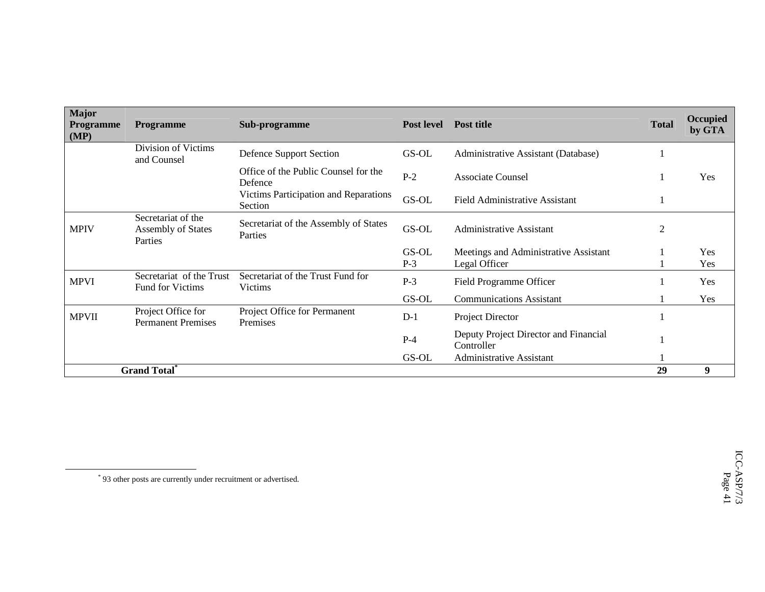| <b>Major</b><br><b>Programme</b><br>(MP) | <b>Programme</b>                                           | Sub-programme                                       | <b>Post level</b> | <b>Post title</b>                                   | <b>Total</b> | Occupied<br>by GTA |
|------------------------------------------|------------------------------------------------------------|-----------------------------------------------------|-------------------|-----------------------------------------------------|--------------|--------------------|
|                                          | Division of Victims<br>and Counsel                         | Defence Support Section                             | GS-OL             | Administrative Assistant (Database)                 |              |                    |
|                                          |                                                            | Office of the Public Counsel for the<br>Defence     | $P-2$             | Associate Counsel                                   |              | Yes                |
|                                          |                                                            | Victims Participation and Reparations<br>Section    | GS-OL             | <b>Field Administrative Assistant</b>               |              |                    |
| <b>MPIV</b>                              | Secretariat of the<br><b>Assembly of States</b><br>Parties | Secretariat of the Assembly of States<br>Parties    | GS-OL             | <b>Administrative Assistant</b>                     | 2            |                    |
|                                          |                                                            |                                                     | GS-OL             | Meetings and Administrative Assistant               |              | Yes                |
|                                          |                                                            |                                                     | $P-3$             | Legal Officer                                       |              | Yes                |
| <b>MPVI</b>                              | Secretariat of the Trust<br><b>Fund for Victims</b>        | Secretariat of the Trust Fund for<br><b>Victims</b> | $P-3$             | Field Programme Officer                             |              | Yes                |
|                                          |                                                            |                                                     | GS-OL             | <b>Communications Assistant</b>                     |              | Yes                |
| <b>MPVII</b>                             | Project Office for<br><b>Permanent Premises</b>            | Project Office for Permanent<br>Premises            | $D-1$             | Project Director                                    |              |                    |
|                                          |                                                            |                                                     | $P-4$             | Deputy Project Director and Financial<br>Controller |              |                    |
|                                          |                                                            |                                                     | GS-OL             | <b>Administrative Assistant</b>                     |              |                    |
|                                          | <b>Grand Total</b> *                                       |                                                     |                   |                                                     | 29           | 9                  |

<sup>\*</sup> 93 other posts are currently under recruitment or advertised.